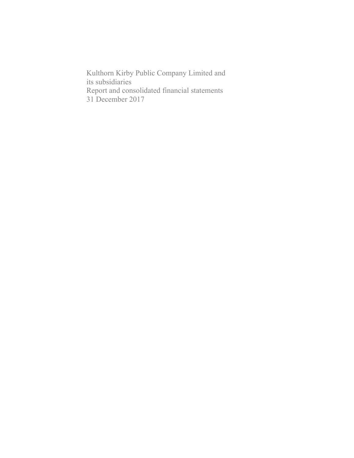Kulthorn Kirby Public Company Limited and its subsidiaries Report and consolidated financial statements 31 December 2017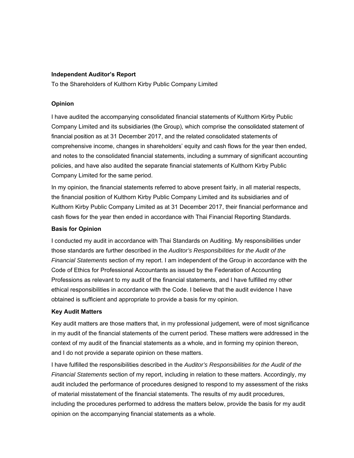### **Independent Auditor's Report**

To the Shareholders of Kulthorn Kirby Public Company Limited

## **Opinion**

I have audited the accompanying consolidated financial statements of Kulthorn Kirby Public Company Limited and its subsidiaries (the Group), which comprise the consolidated statement of financial position as at 31 December 2017, and the related consolidated statements of comprehensive income, changes in shareholders' equity and cash flows for the year then ended, and notes to the consolidated financial statements, including a summary of significant accounting policies, and have also audited the separate financial statements of Kulthorn Kirby Public Company Limited for the same period.

In my opinion, the financial statements referred to above present fairly, in all material respects, the financial position of Kulthorn Kirby Public Company Limited and its subsidiaries and of Kulthorn Kirby Public Company Limited as at 31 December 2017, their financial performance and cash flows for the year then ended in accordance with Thai Financial Reporting Standards.

### **Basis for Opinion**

I conducted my audit in accordance with Thai Standards on Auditing. My responsibilities under those standards are further described in the *Auditor's Responsibilities for the Audit of the Financial Statements* section of my report. I am independent of the Group in accordance with the Code of Ethics for Professional Accountants as issued by the Federation of Accounting Professions as relevant to my audit of the financial statements, and I have fulfilled my other ethical responsibilities in accordance with the Code. I believe that the audit evidence I have obtained is sufficient and appropriate to provide a basis for my opinion.

### **Key Audit Matters**

Key audit matters are those matters that, in my professional judgement, were of most significance in my audit of the financial statements of the current period. These matters were addressed in the context of my audit of the financial statements as a whole, and in forming my opinion thereon, and I do not provide a separate opinion on these matters.

I have fulfilled the responsibilities described in the *Auditor's Responsibilities for the Audit of the Financial Statements* section of my report, including in relation to these matters. Accordingly, my audit included the performance of procedures designed to respond to my assessment of the risks of material misstatement of the financial statements. The results of my audit procedures, including the procedures performed to address the matters below, provide the basis for my audit opinion on the accompanying financial statements as a whole.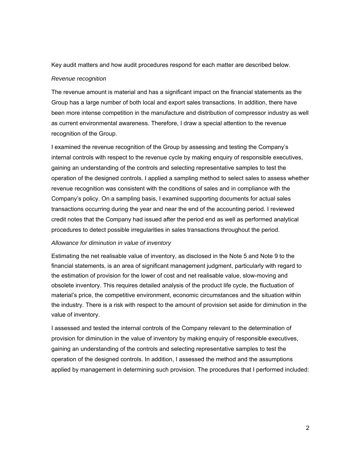Key audit matters and how audit procedures respond for each matter are described below.

#### *Revenue recognition*

The revenue amount is material and has a significant impact on the financial statements as the Group has a large number of both local and export sales transactions. In addition, there have been more intense competition in the manufacture and distribution of compressor industry as well as current environmental awareness. Therefore, I draw a special attention to the revenue recognition of the Group.

I examined the revenue recognition of the Group by assessing and testing the Company's internal controls with respect to the revenue cycle by making enquiry of responsible executives, gaining an understanding of the controls and selecting representative samples to test the operation of the designed controls. I applied a sampling method to select sales to assess whether revenue recognition was consistent with the conditions of sales and in compliance with the Company's policy. On a sampling basis, I examined supporting documents for actual sales transactions occurring during the year and near the end of the accounting period. I reviewed credit notes that the Company had issued after the period end as well as performed analytical procedures to detect possible irregularities in sales transactions throughout the period.

#### *Allowance for diminution in value of inventory*

Estimating the net realisable value of inventory, as disclosed in the Note 5 and Note 9 to the financial statements, is an area of significant management judgment, particularly with regard to the estimation of provision for the lower of cost and net realisable value, slow-moving and obsolete inventory. This requires detailed analysis of the product life cycle, the fluctuation of material's price, the competitive environment, economic circumstances and the situation within the industry. There is a risk with respect to the amount of provision set aside for diminution in the value of inventory.

I assessed and tested the internal controls of the Company relevant to the determination of provision for diminution in the value of inventory by making enquiry of responsible executives, gaining an understanding of the controls and selecting representative samples to test the operation of the designed controls. In addition, I assessed the method and the assumptions applied by management in determining such provision. The procedures that I performed included: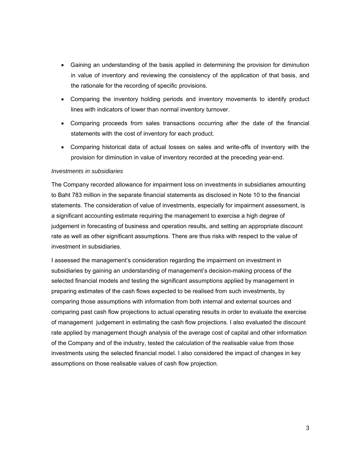- Gaining an understanding of the basis applied in determining the provision for diminution in value of inventory and reviewing the consistency of the application of that basis, and the rationale for the recording of specific provisions.
- Comparing the inventory holding periods and inventory movements to identify product lines with indicators of lower than normal inventory turnover.
- Comparing proceeds from sales transactions occurring after the date of the financial statements with the cost of inventory for each product.
- Comparing historical data of actual losses on sales and write-offs of inventory with the provision for diminution in value of inventory recorded at the preceding year-end.

#### *Investments in subsidiaries*

The Company recorded allowance for impairment loss on investments in subsidiaries amounting to Baht 783 million in the separate financial statements as disclosed in Note 10 to the financial statements. The consideration of value of investments, especially for impairment assessment, is a significant accounting estimate requiring the management to exercise a high degree of judgement in forecasting of business and operation results, and setting an appropriate discount rate as well as other significant assumptions. There are thus risks with respect to the value of investment in subsidiaries.

I assessed the management's consideration regarding the impairment on investment in subsidiaries by gaining an understanding of management's decision-making process of the selected financial models and testing the significant assumptions applied by management in preparing estimates of the cash flows expected to be realised from such investments, by comparing those assumptions with information from both internal and external sources and comparing past cash flow projections to actual operating results in order to evaluate the exercise of management judgement in estimating the cash flow projections. I also evaluated the discount rate applied by management though analysis of the average cost of capital and other information of the Company and of the industry, tested the calculation of the realisable value from those investments using the selected financial model. I also considered the impact of changes in key assumptions on those realisable values of cash flow projection.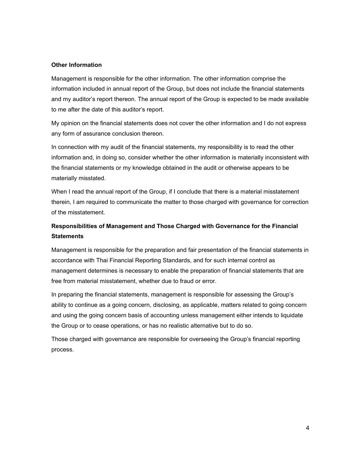### **Other Information**

Management is responsible for the other information. The other information comprise the information included in annual report of the Group, but does not include the financial statements and my auditor's report thereon. The annual report of the Group is expected to be made available to me after the date of this auditor's report.

My opinion on the financial statements does not cover the other information and I do not express any form of assurance conclusion thereon.

In connection with my audit of the financial statements, my responsibility is to read the other information and, in doing so, consider whether the other information is materially inconsistent with the financial statements or my knowledge obtained in the audit or otherwise appears to be materially misstated.

When I read the annual report of the Group, if I conclude that there is a material misstatement therein, I am required to communicate the matter to those charged with governance for correction of the misstatement.

# **Responsibilities of Management and Those Charged with Governance for the Financial Statements**

Management is responsible for the preparation and fair presentation of the financial statements in accordance with Thai Financial Reporting Standards, and for such internal control as management determines is necessary to enable the preparation of financial statements that are free from material misstatement, whether due to fraud or error.

In preparing the financial statements, management is responsible for assessing the Group's ability to continue as a going concern, disclosing, as applicable, matters related to going concern and using the going concern basis of accounting unless management either intends to liquidate the Group or to cease operations, or has no realistic alternative but to do so.

Those charged with governance are responsible for overseeing the Group's financial reporting process.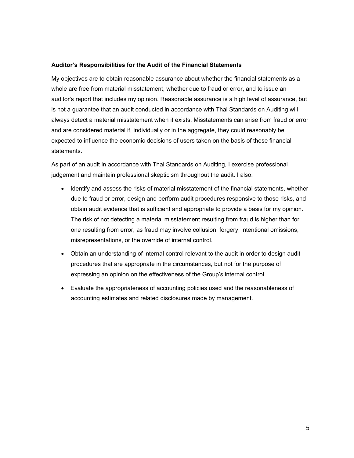#### **Auditor's Responsibilities for the Audit of the Financial Statements**

My objectives are to obtain reasonable assurance about whether the financial statements as a whole are free from material misstatement, whether due to fraud or error, and to issue an auditor's report that includes my opinion. Reasonable assurance is a high level of assurance, but is not a guarantee that an audit conducted in accordance with Thai Standards on Auditing will always detect a material misstatement when it exists. Misstatements can arise from fraud or error and are considered material if, individually or in the aggregate, they could reasonably be expected to influence the economic decisions of users taken on the basis of these financial statements.

As part of an audit in accordance with Thai Standards on Auditing, I exercise professional judgement and maintain professional skepticism throughout the audit. I also:

- Identify and assess the risks of material misstatement of the financial statements, whether due to fraud or error, design and perform audit procedures responsive to those risks, and obtain audit evidence that is sufficient and appropriate to provide a basis for my opinion. The risk of not detecting a material misstatement resulting from fraud is higher than for one resulting from error, as fraud may involve collusion, forgery, intentional omissions, misrepresentations, or the override of internal control.
- Obtain an understanding of internal control relevant to the audit in order to design audit procedures that are appropriate in the circumstances, but not for the purpose of expressing an opinion on the effectiveness of the Group's internal control.
- Evaluate the appropriateness of accounting policies used and the reasonableness of accounting estimates and related disclosures made by management.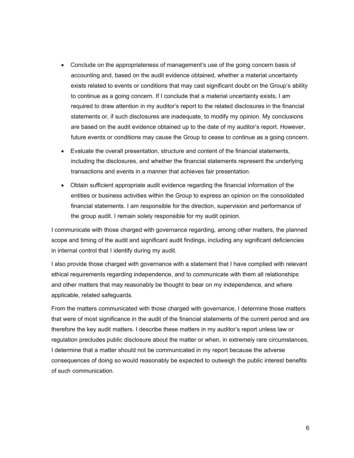- Conclude on the appropriateness of management's use of the going concern basis of accounting and, based on the audit evidence obtained, whether a material uncertainty exists related to events or conditions that may cast significant doubt on the Group's ability to continue as a going concern. If I conclude that a material uncertainty exists, I am required to draw attention in my auditor's report to the related disclosures in the financial statements or, if such disclosures are inadequate, to modify my opinion. My conclusions are based on the audit evidence obtained up to the date of my auditor's report. However, future events or conditions may cause the Group to cease to continue as a going concern.
- Evaluate the overall presentation, structure and content of the financial statements, including the disclosures, and whether the financial statements represent the underlying transactions and events in a manner that achieves fair presentation.
- Obtain sufficient appropriate audit evidence regarding the financial information of the entities or business activities within the Group to express an opinion on the consolidated financial statements. I am responsible for the direction, supervision and performance of the group audit. I remain solely responsible for my audit opinion.

I communicate with those charged with governance regarding, among other matters, the planned scope and timing of the audit and significant audit findings, including any significant deficiencies in internal control that I identify during my audit.

I also provide those charged with governance with a statement that I have complied with relevant ethical requirements regarding independence, and to communicate with them all relationships and other matters that may reasonably be thought to bear on my independence, and where applicable, related safeguards.

From the matters communicated with those charged with governance, I determine those matters that were of most significance in the audit of the financial statements of the current period and are therefore the key audit matters. I describe these matters in my auditor's report unless law or regulation precludes public disclosure about the matter or when, in extremely rare circumstances, I determine that a matter should not be communicated in my report because the adverse consequences of doing so would reasonably be expected to outweigh the public interest benefits of such communication.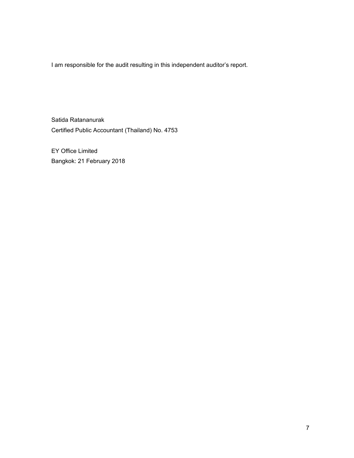I am responsible for the audit resulting in this independent auditor's report.

Satida Ratananurak Certified Public Accountant (Thailand) No. 4753

EY Office Limited Bangkok: 21 February 2018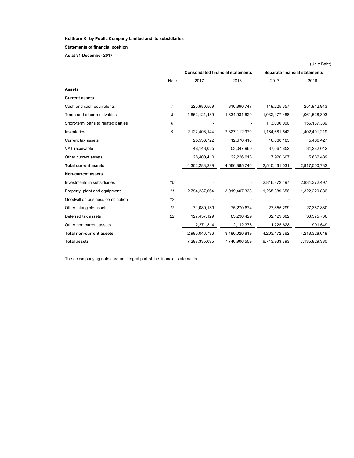**Statements of financial position**

**As at 31 December 2017** 

|                                     |                |                                          |               |                               | (Unit: Baht)  |
|-------------------------------------|----------------|------------------------------------------|---------------|-------------------------------|---------------|
|                                     |                | <b>Consolidated financial statements</b> |               | Separate financial statements |               |
|                                     | Note           | 2017                                     | 2016          | 2017                          | 2016          |
| <b>Assets</b>                       |                |                                          |               |                               |               |
| <b>Current assets</b>               |                |                                          |               |                               |               |
| Cash and cash equivalents           | $\overline{7}$ | 225,680,509                              | 316,890,747   | 149,225,357                   | 251,942,913   |
| Trade and other receivables         | 8              | 1,852,121,489                            | 1,834,931,629 | 1,032,477,488                 | 1,061,528,303 |
| Short-term loans to related parties | 6              |                                          |               | 113,000,000                   | 156, 137, 389 |
| Inventories                         | 9              | 2,122,406,144                            | 2,327,112,970 | 1,184,681,542                 | 1,402,491,219 |
| <b>Current tax assets</b>           |                | 25,536,722                               | 12,676,416    | 16,088,185                    | 5,486,427     |
| VAT receivable                      |                | 48,143,025                               | 53,047,960    | 37,067,852                    | 34,282,042    |
| Other current assets                |                | 28,400,410                               | 22,226,018    | 7,920,607                     | 5,632,439     |
| <b>Total current assets</b>         |                | 4,302,288,299                            | 4,566,885,740 | 2,540,461,031                 | 2,917,500,732 |
| <b>Non-current assets</b>           |                |                                          |               |                               |               |
| Investments in subsidiaries         | 10             |                                          |               | 2,846,872,497                 | 2,834,372,497 |
| Property, plant and equipment       | 11             | 2,794,237,664                            | 3,019,407,338 | 1,265,389,656                 | 1,322,220,886 |
| Goodwill on business combination    | 12             |                                          |               |                               |               |
| Other intangible assets             | 13             | 71,080,189                               | 75,270,674    | 27,855,299                    | 27,367,880    |
| Deferred tax assets                 | 22             | 127,457,129                              | 83,230,429    | 62,129,682                    | 33,375,736    |
| Other non-current assets            |                | 2,271,814                                | 2,112,378     | 1,225,628                     | 991,649       |
| <b>Total non-current assets</b>     |                | 2,995,046,796                            | 3,180,020,819 | 4,203,472,762                 | 4,218,328,648 |
| <b>Total assets</b>                 |                | 7,297,335,095                            | 7,746,906,559 | 6,743,933,793                 | 7,135,829,380 |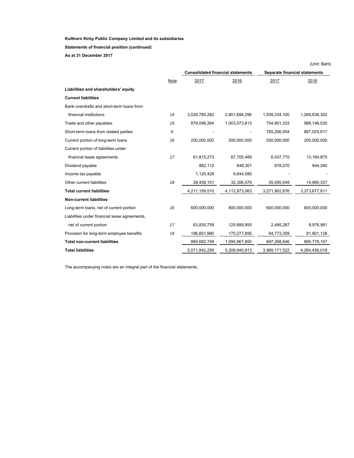**Statements of financial position (continued)**

**As at 31 December 2017** 

|                                               |      |                                          |               |                               | (Unit: Baht)  |
|-----------------------------------------------|------|------------------------------------------|---------------|-------------------------------|---------------|
|                                               |      | <b>Consolidated financial statements</b> |               | Separate financial statements |               |
|                                               | Note | 2017                                     | 2016          | 2017                          | 2016          |
| Liabilities and shareholders' equity          |      |                                          |               |                               |               |
| <b>Current liabilities</b>                    |      |                                          |               |                               |               |
| Bank overdrafts and short-term loans from     |      |                                          |               |                               |               |
| financial institutions                        | 14   | 3,029,785,282                            | 2,801,694,296 | 1,509,334,100                 | 1,269,636,302 |
| Trade and other payables                      | 15   | 879,098,264                              | 1,003,573,813 | 754,951,333                   | 988,146,520   |
| Short-term loans from related parties         | 6    |                                          |               | 765,206,054                   | 887,025,617   |
| Current portion of long-term loans            | 16   | 200,000,000                              | 200,000,000   | 200,000,000                   | 200,000,000   |
| Current portion of liabilities under          |      |                                          |               |                               |               |
| financial lease agreements                    | 17   | 61,815,273                               | 67,705,489    | 6,437,770                     | 13, 164, 875  |
| Dividend payable                              |      | 882,112                                  | 848,301       | 878,070                       | 844,260       |
| Income tax payable                            |      | 1,120,428                                | 6,844,585     |                               |               |
| Other current liabilities                     | 18   | 38,458,151                               | 32,306,579    | 35,095,549                    | 14,860,337    |
| <b>Total current liabilities</b>              |      | 4,211,159,510                            | 4,112,973,063 | 3,271,902,876                 | 3,373,677,911 |
| <b>Non-current liabilities</b>                |      |                                          |               |                               |               |
| Long-term loans, net of current portion       | 16   | 600.000.000                              | 800.000.000   | 600.000.000                   | 800.000.000   |
| Liabilities under financial lease agreements, |      |                                          |               |                               |               |
| net of current portion                        | 17   | 63,830,759                               | 125,689,955   | 2,495,287                     | 8,976,981     |
| Provision for long-term employee benefits     | 19   | 196,851,990                              | 170,277,895   | 94,773,359                    | 81,801,126    |
| <b>Total non-current liabilities</b>          |      | 860,682,749                              | 1,095,967,850 | 697,268,646                   | 890,778,107   |
| <b>Total liabilities</b>                      |      | 5,071,842,259                            | 5,208,940,913 | 3,969,171,522                 | 4,264,456,018 |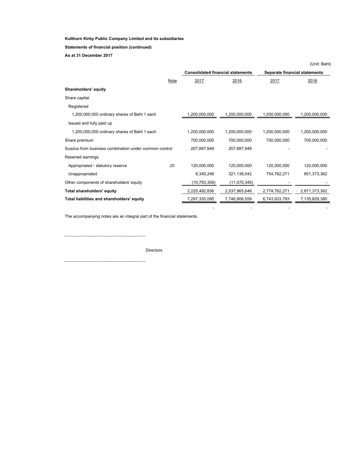**Statements of financial position (continued)**

**As at 31 December 2017** 

|                                                        |      |                                          |               |                               | (Unit: Baht)  |
|--------------------------------------------------------|------|------------------------------------------|---------------|-------------------------------|---------------|
|                                                        |      | <b>Consolidated financial statements</b> |               | Separate financial statements |               |
|                                                        | Note | 2017                                     | 2016          | 2017                          | 2016          |
| Shareholders' equity                                   |      |                                          |               |                               |               |
| Share capital                                          |      |                                          |               |                               |               |
| Registered                                             |      |                                          |               |                               |               |
| 1,200,000,000 ordinary shares of Baht 1 each           |      | 1,200,000,000                            | 1,200,000,000 | 1,200,000,000                 | 1,200,000,000 |
| Issued and fully paid up                               |      |                                          |               |                               |               |
| 1,200,000,000 ordinary shares of Baht 1 each           |      | 1,200,000,000                            | 1,200,000,000 | 1,200,000,000                 | 1,200,000,000 |
| Share premium                                          |      | 700,000,000                              | 700,000,000   | 700,000,000                   | 700,000,000   |
| Surplus from business combination under common control |      | 207,897,949                              | 207,897,949   |                               |               |
| Retained earnings                                      |      |                                          |               |                               |               |
| Appropriated - statutory reserve                       | 20   | 120,000,000                              | 120,000,000   | 120,000,000                   | 120,000,000   |
| Unappropriated                                         |      | 8,345,246                                | 321,138,042   | 754,762,271                   | 851,373,362   |
| Other components of shareholders' equity               |      | (10, 750, 359)                           | (11,070,345)  |                               |               |
| Total shareholders' equity                             |      | 2,225,492,836                            | 2,537,965,646 | 2,774,762,271                 | 2,871,373,362 |
| Total liabilities and shareholders' equity             |      | 7,297,335,095                            | 7,746,906,559 | 6,743,933,793                 | 7,135,829,380 |
|                                                        |      |                                          |               |                               |               |

The accompanying notes are an integral part of the financial statements.

Directors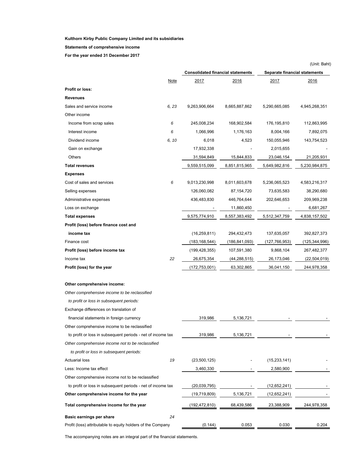#### **Statements of comprehensive income**

**For the year ended 31 December 2017** 

|                                                             |             |                                          |               |                               | (Unit: Baht)   |
|-------------------------------------------------------------|-------------|------------------------------------------|---------------|-------------------------------|----------------|
|                                                             |             | <b>Consolidated financial statements</b> |               | Separate financial statements |                |
|                                                             | <b>Note</b> | 2017                                     | 2016          | 2017                          | 2016           |
| <b>Profit or loss:</b>                                      |             |                                          |               |                               |                |
| <b>Revenues</b>                                             |             |                                          |               |                               |                |
| Sales and service income                                    | 6, 23       | 9,263,906,664                            | 8,665,887,862 | 5,290,665,085                 | 4,945,268,351  |
| Other income                                                |             |                                          |               |                               |                |
| Income from scrap sales                                     | 6           | 245,008,234                              | 168,902,584   | 176,195,810                   | 112,863,995    |
| Interest income                                             | 6           | 1,066,996                                | 1,176,163     | 8,004,166                     | 7,892,075      |
| Dividend income                                             | 6, 10       | 6,018                                    | 4,523         | 150,055,946                   | 143,754,523    |
| Gain on exchange                                            |             | 17,932,338                               |               | 2,015,655                     |                |
| Others                                                      |             | 31,594,849                               | 15,844,833    | 23,046,154                    | 21,205,931     |
| <b>Total revenues</b>                                       |             | 9,559,515,099                            | 8,851,815,965 | 5,649,982,816                 | 5,230,984,875  |
| <b>Expenses</b>                                             |             |                                          |               |                               |                |
| Cost of sales and services                                  | 6           | 9,013,230,998                            | 8,011,603,678 | 5,236,065,523                 | 4,583,216,317  |
| Selling expenses                                            |             | 126,060,082                              | 87,154,720    | 73,635,583                    | 38,290,680     |
| Administrative expenses                                     |             | 436,483,830                              | 446,764,644   | 202,646,653                   | 209,969,238    |
| Loss on exchange                                            |             |                                          | 11,860,450    |                               | 6,681,267      |
| <b>Total expenses</b>                                       |             | 9,575,774,910                            | 8,557,383,492 | 5,512,347,759                 | 4,838,157,502  |
| Profit (loss) before finance cost and                       |             |                                          |               |                               |                |
| income tax                                                  |             | (16, 259, 811)                           | 294,432,473   | 137,635,057                   | 392,827,373    |
| Finance cost                                                |             | (183,168,544)                            | (186,841,093) | (127,766,953)                 | (125,344,996)  |
| Profit (loss) before income tax                             |             | (199, 428, 355)                          | 107,591,380   | 9,868,104                     | 267,482,377    |
| Income tax                                                  | 22          | 26,675,354                               | (44,288,515)  | 26,173,046                    | (22, 504, 019) |
| Profit (loss) for the year                                  |             | (172,753,001)                            | 63,302,865    | 36,041,150                    | 244,978,358    |
| Other comprehensive income:                                 |             |                                          |               |                               |                |
| Other comprehensive income to be reclassified               |             |                                          |               |                               |                |
| to profit or loss in subsequent periods:                    |             |                                          |               |                               |                |
| Exchange differences on translation of                      |             |                                          |               |                               |                |
| financial statements in foreign currency                    |             | 319,986                                  | 5,136,721     |                               |                |
| Other comprehensive income to be reclassified               |             |                                          |               |                               |                |
| to profit or loss in subsequent periods - net of income tax |             | 319,986                                  | 5,136,721     |                               |                |
| Other comprehensive income not to be reclassified           |             |                                          |               |                               |                |
| to profit or loss in subsequent periods:                    |             |                                          |               |                               |                |
| <b>Actuarial loss</b>                                       | 19          | (23,500,125)                             |               | (15, 233, 141)                |                |
| Less: Income tax effect                                     |             | 3,460,330                                |               | 2,580,900                     |                |
| Other comprehensive income not to be reclassified           |             |                                          |               |                               |                |
| to profit or loss in subsequent periods - net of income tax |             | (20, 039, 795)                           |               | (12,652,241)                  |                |
| Other comprehensive income for the year                     |             | (19,719,809)                             | 5,136,721     | (12,652,241)                  |                |
| Total comprehensive income for the year                     |             | (192,472,810)                            | 68,439,586    | 23,388,909                    | 244,978,358    |
| Basic earnings per share                                    | 24          |                                          |               |                               |                |
| Profit (loss) attributable to equity holders of the Company |             | (0.144)                                  | 0.053         | 0.030                         | 0.204          |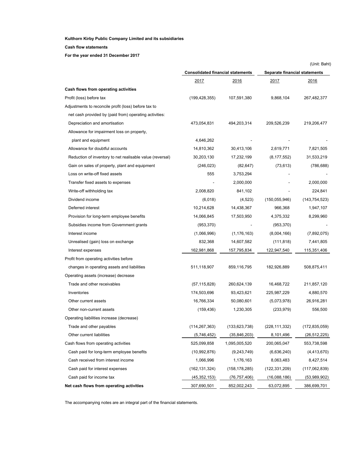### **Cash flow statements**

**For the year ended 31 December 2017** 

|                                                           |                                          |                 |                               | (Unit: Baht)    |
|-----------------------------------------------------------|------------------------------------------|-----------------|-------------------------------|-----------------|
|                                                           | <b>Consolidated financial statements</b> |                 | Separate financial statements |                 |
|                                                           | <u> 2017 </u>                            | <u> 2016 </u>   | 2017                          | 2016            |
| Cash flows from operating activities                      |                                          |                 |                               |                 |
| Profit (loss) before tax                                  | (199, 428, 355)                          | 107,591,380     | 9,868,104                     | 267,482,377     |
| Adjustments to reconcile profit (loss) before tax to      |                                          |                 |                               |                 |
| net cash provided by (paid from) operating activities:    |                                          |                 |                               |                 |
| Depreciation and amortisation                             | 473,054,831                              | 494,203,314     | 209,526,239                   | 219,206,477     |
| Allowance for impairment loss on property,                |                                          |                 |                               |                 |
| plant and equipment                                       | 4,646,262                                |                 |                               |                 |
| Allowance for doubtful accounts                           | 14,810,362                               | 30,413,106      | 2,619,771                     | 7,821,505       |
| Reduction of inventory to net realisable value (reversal) | 30,203,130                               | 17,232,199      | (8, 177, 552)                 | 31,533,219      |
| Gain on sales of property, plant and equipment            | (246, 023)                               | (82, 647)       | (73, 613)                     | (786, 688)      |
| Loss on write-off fixed assets                            | 555                                      | 3,753,294       |                               |                 |
| Transfer fixed assets to expenses                         |                                          | 2,000,000       |                               | 2,000,000       |
| Write-off withholding tax                                 | 2,008,820                                | 841,102         |                               | 224,841         |
| Dividend income                                           | (6,018)                                  | (4, 523)        | (150, 055, 946)               | (143, 754, 523) |
| Deferred interest                                         | 10,214,628                               | 14,438,367      | 966,368                       | 1,947,107       |
| Provision for long-term employee benefits                 | 14,066,845                               | 17,503,950      | 4,375,332                     | 8,299,960       |
| Subsidies income from Government grants                   | (953, 370)                               |                 | (953, 370)                    |                 |
| Interest income                                           | (1,066,996)                              | (1, 176, 163)   | (8,004,166)                   | (7,892,075)     |
| Unrealised (gain) loss on exchange                        | 832,368                                  | 14,607,582      | (111, 818)                    | 7,441,805       |
| Interest expenses                                         | 162,981,868                              | 157,795,834     | 122,947,540                   | 115,351,406     |
| Profit from operating activities before                   |                                          |                 |                               |                 |
| changes in operating assets and liabilities               | 511,118,907                              | 859,116,795     | 182,926,889                   | 508,875,411     |
| Operating assets (increase) decrease                      |                                          |                 |                               |                 |
| Trade and other receivables                               | (57, 115, 828)                           | 260,624,139     | 16,468,722                    | 211,857,120     |
| Inventories                                               | 174,503,696                              | 93,423,621      | 225,987,229                   | 4,880,570       |
| Other current assets                                      | 16,766,334                               | 50,080,601      | (5,073,978)                   | 26,916,281      |
| Other non-current assets                                  | (159, 436)                               | 1,230,305       | (233, 979)                    | 556,500         |
| Operating liabilities increase (decrease)                 |                                          |                 |                               |                 |
| Trade and other payables                                  | (114, 267, 363)                          | (133, 623, 738) | (228, 111, 332)               | (172, 835, 059) |
| Other current liabilities                                 | (5,746,452)                              | (35, 846, 203)  | 8,101,496                     | (26, 512, 225)  |
| Cash flows from operating activities                      | 525,099,858                              | 1,095,005,520   | 200,065,047                   | 553,738,598     |
| Cash paid for long-term employee benefits                 | (10,992,876)                             | (9,243,749)     | (6,636,240)                   | (4,413,670)     |
| Cash received from interest income                        | 1,066,996                                | 1,176,163       | 8,063,483                     | 8,427,514       |
| Cash paid for interest expenses                           | (162, 131, 324)                          | (158, 178, 285) | (122, 331, 209)               | (117,062,839)   |
| Cash paid for income tax                                  | (45, 352, 153)                           | (76,757,406)    | (16,088,186)                  | (53,989,902)    |
| Net cash flows from operating activities                  | 307,690,501                              | 852,002,243     | 63,072,895                    | 386,699,701     |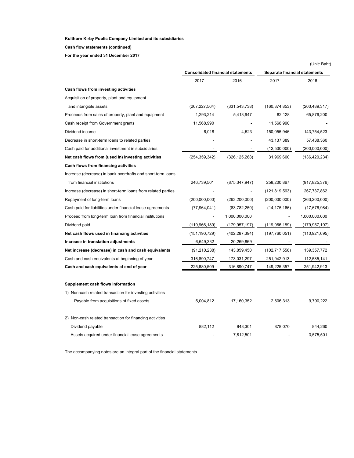#### **Cash flow statements (continued)**

**For the year ended 31 December 2017** 

|                                                              |                                          |                 |                               | (Unit: Baht)    |
|--------------------------------------------------------------|------------------------------------------|-----------------|-------------------------------|-----------------|
|                                                              | <b>Consolidated financial statements</b> |                 | Separate financial statements |                 |
|                                                              | 2017                                     | 2016            | 2017                          | 2016            |
| Cash flows from investing activities                         |                                          |                 |                               |                 |
| Acquisition of property, plant and equipment                 |                                          |                 |                               |                 |
| and intangible assets                                        | (267, 227, 564)                          | (331, 543, 738) | (160, 374, 853)               | (203, 489, 317) |
| Proceeds from sales of property, plant and equipment         | 1,293,214                                | 5,413,947       | 82,128                        | 65,876,200      |
| Cash receipt from Government grants                          | 11,568,990                               |                 | 11,568,990                    |                 |
| Dividend income                                              | 6,018                                    | 4,523           | 150,055,946                   | 143,754,523     |
| Decrease in short-term loans to related parties              |                                          |                 | 43,137,389                    | 57,438,360      |
| Cash paid for additional investment in subsidiaries          |                                          |                 | (12,500,000)                  | (200,000,000)   |
| Net cash flows from (used in) investing activities           | (254, 359, 342)                          | (326, 125, 268) | 31,969,600                    | (136, 420, 234) |
| Cash flows from financing activities                         |                                          |                 |                               |                 |
| Increase (decrease) in bank overdrafts and short-term loans  |                                          |                 |                               |                 |
| from financial institutions                                  | 246,739,501                              | (875, 347, 947) | 258,200,867                   | (917, 825, 376) |
| Increase (decrease) in short-term loans from related parties |                                          |                 | (121, 819, 563)               | 267,737,862     |
| Repayment of long-term loans                                 | (200,000,000)                            | (263, 200, 000) | (200,000,000)                 | (263, 200, 000) |
| Cash paid for liabilities under financial lease agreements   | (77,964,041)                             | (83,782,250)    | (14, 175, 166)                | (17, 676, 984)  |
| Proceed from long-term loan from financial institutions      |                                          | 1,000,000,000   |                               | 1,000,000,000   |
| Dividend paid                                                | (119,966,189)                            | (179, 957, 197) | (119,966,189)                 | (179, 957, 197) |
| Net cash flows used in financing activities                  | (151, 190, 729)                          | (402, 287, 394) | (197,760,051)                 | (110, 921, 695) |
| Increase in translation adjustments                          | 6,649,332                                | 20,269,869      |                               |                 |
| Net increase (decrease) in cash and cash equivalents         | (91, 210, 238)                           | 143,859,450     | (102, 717, 556)               | 139, 357, 772   |
| Cash and cash equivalents at beginning of year               | 316,890,747                              | 173,031,297     | 251,942,913                   | 112,585,141     |
| Cash and cash equivalents at end of year                     | 225,680,509                              | 316,890,747     | 149,225,357                   | 251,942,913     |
| Supplement cash flows information                            |                                          |                 |                               |                 |
| 1) Non-cash related transaction for investing activities     |                                          |                 |                               |                 |
| Payable from acquisitions of fixed assets                    | 5,004,812                                | 17,160,352      | 2,606,313                     | 9,790,222       |
| 2) Non-cash related transaction for financing activities     |                                          |                 |                               |                 |
| Dividend payable                                             | 882,112                                  | 848,301         | 878,070                       | 844,260         |
| Assets acquired under financial lease agreements             |                                          | 7,812,501       |                               | 3,575,501       |
|                                                              |                                          |                 |                               |                 |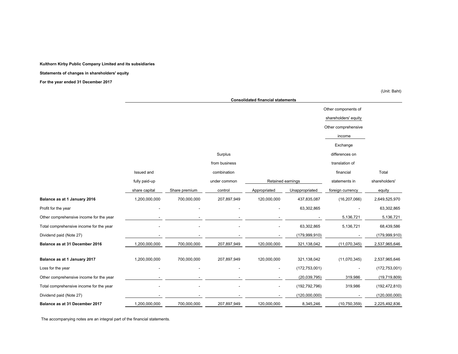#### **Statements of changes in shareholders' equity**

**For the year ended 31 December 2017** 

(Unit: Baht)

|                                         |               |               |               | <b>Consolidated financial statements</b> |                 |                      |                 |
|-----------------------------------------|---------------|---------------|---------------|------------------------------------------|-----------------|----------------------|-----------------|
|                                         |               |               |               |                                          |                 | Other components of  |                 |
|                                         |               |               |               |                                          |                 | shareholders' equity |                 |
|                                         |               |               |               |                                          |                 | Other comprehensive  |                 |
|                                         |               |               |               |                                          |                 | income               |                 |
|                                         |               |               |               |                                          |                 | Exchange             |                 |
|                                         |               |               | Surplus       |                                          |                 | differences on       |                 |
|                                         |               |               | from business |                                          |                 | translation of       |                 |
|                                         | Issued and    |               | combination   |                                          |                 | financial            | Total           |
|                                         | fully paid-up |               | under common  | Retained earnings                        |                 | statements in        | shareholders'   |
|                                         | share capital | Share premium | control       | Appropriated                             | Unappropriated  | foreign currency     | equity          |
| Balance as at 1 January 2016            | 1,200,000,000 | 700,000,000   | 207,897,949   | 120,000,000                              | 437,835,087     | (16, 207, 066)       | 2,649,525,970   |
| Profit for the year                     |               |               |               |                                          | 63,302,865      |                      | 63,302,865      |
| Other comprehensive income for the year |               |               |               |                                          |                 | 5,136,721            | 5,136,721       |
| Total comprehensive income for the year |               |               |               |                                          | 63,302,865      | 5,136,721            | 68,439,586      |
| Dividend paid (Note 27)                 |               |               |               |                                          | (179, 999, 910) |                      | (179, 999, 910) |
| Balance as at 31 December 2016          | 1,200,000,000 | 700,000,000   | 207,897,949   | 120,000,000                              | 321,138,042     | (11,070,345)         | 2,537,965,646   |
| Balance as at 1 January 2017            | 1,200,000,000 | 700,000,000   | 207,897,949   | 120,000,000                              | 321,138,042     | (11,070,345)         | 2,537,965,646   |
| Loss for the year                       |               |               |               |                                          | (172, 753, 001) |                      | (172, 753, 001) |
| Other comprehensive income for the year |               |               |               |                                          | (20, 039, 795)  | 319,986              | (19,719,809)    |
| Total comprehensive income for the year |               |               |               |                                          | (192, 792, 796) | 319,986              | (192, 472, 810) |
| Dividend paid (Note 27)                 |               |               |               |                                          | (120,000,000)   |                      | (120,000,000)   |
| Balance as at 31 December 2017          | 1,200,000,000 | 700,000,000   | 207,897,949   | 120,000,000                              | 8,345,246       | (10,750,359)         | 2,225,492,836   |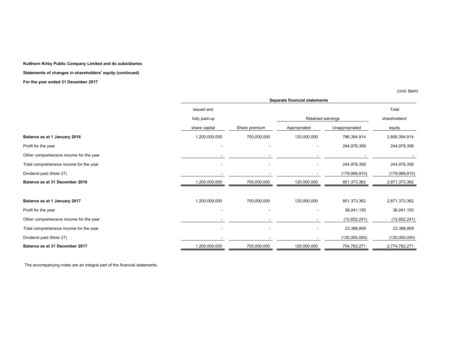**Statements of changes in shareholders' equity (continued)**

**For the year ended 31 December 2017** 

(Unit: Baht)

|                                         |               | Separate financial statements |                   |                 |                 |  |  |
|-----------------------------------------|---------------|-------------------------------|-------------------|-----------------|-----------------|--|--|
|                                         | Issued and    |                               |                   |                 | Total           |  |  |
|                                         | fully paid-up |                               | Retained earnings |                 | shareholders'   |  |  |
|                                         | share capital | Share premium                 | Appropriated      | Unappropriated  | equity          |  |  |
| Balance as at 1 January 2016            | 1,200,000,000 | 700,000,000                   | 120,000,000       | 786,394,914     | 2,806,394,914   |  |  |
| Profit for the year                     |               |                               |                   | 244,978,358     | 244,978,358     |  |  |
| Other comprehensive income for the year |               |                               |                   |                 |                 |  |  |
| Total comprehensive income for the year |               |                               |                   | 244,978,358     | 244,978,358     |  |  |
| Dividend paid (Note 27)                 |               |                               |                   | (179, 999, 910) | (179, 999, 910) |  |  |
| Balance as at 31 December 2016          | 1,200,000,000 | 700,000,000                   | 120,000,000       | 851,373,362     | 2,871,373,362   |  |  |
| Balance as at 1 January 2017            | 1,200,000,000 | 700,000,000                   | 120,000,000       | 851,373,362     | 2,871,373,362   |  |  |
| Profit for the year                     |               |                               |                   | 36,041,150      | 36,041,150      |  |  |
| Other comprehensive income for the year |               |                               |                   | (12, 652, 241)  | (12, 652, 241)  |  |  |
| Total comprehensive income for the year |               | ۰                             |                   | 23,388,909      | 23,388,909      |  |  |
| Dividend paid (Note 27)                 |               |                               |                   | (120,000,000)   | (120,000,000)   |  |  |
| Balance as at 31 December 2017          | 1,200,000,000 | 700,000,000                   | 120,000,000       | 754,762,271     | 2,774,762,271   |  |  |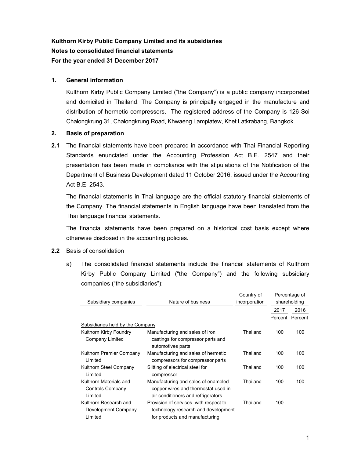# **Kulthorn Kirby Public Company Limited and its subsidiaries Notes to consolidated financial statements For the year ended 31 December 2017**

# **1. General information**

 Kulthorn Kirby Public Company Limited ("the Company") is a public company incorporated and domiciled in Thailand. The Company is principally engaged in the manufacture and distribution of hermetic compressors. The registered address of the Company is 126 Soi Chalongkrung 31, Chalongkrung Road, Khwaeng Lamplatew, Khet Latkrabang, Bangkok.

# **2. Basis of preparation**

**2.1** The financial statements have been prepared in accordance with Thai Financial Reporting Standards enunciated under the Accounting Profession Act B.E. 2547 and their presentation has been made in compliance with the stipulations of the Notification of the Department of Business Development dated 11 October 2016, issued under the Accounting Act B.E. 2543.

 The financial statements in Thai language are the official statutory financial statements of the Company. The financial statements in English language have been translated from the Thai language financial statements.

The financial statements have been prepared on a historical cost basis except where otherwise disclosed in the accounting policies.

### **2.2** Basis of consolidation

a) The consolidated financial statements include the financial statements of Kulthorn Kirby Public Company Limited ("the Company") and the following subsidiary companies ("the subsidiaries"):

| Subsidiary companies                                         | Nature of business                                                                                               | Country of<br>incorporation | Percentage of<br>shareholding |      |
|--------------------------------------------------------------|------------------------------------------------------------------------------------------------------------------|-----------------------------|-------------------------------|------|
|                                                              |                                                                                                                  |                             | 2017                          | 2016 |
|                                                              |                                                                                                                  |                             | Percent Percent               |      |
| Subsidiaries held by the Company                             |                                                                                                                  |                             |                               |      |
| Kulthorn Kirby Foundry<br><b>Company Limited</b>             | Manufacturing and sales of iron<br>castings for compressor parts and<br>automotives parts                        | Thailand                    | 100                           | 100  |
| Kulthorn Premier Company<br>Limited                          | Manufacturing and sales of hermetic<br>compressors for compressor parts                                          | Thailand                    | 100                           | 100  |
| Kulthorn Steel Company<br>Limited                            | Slitting of electrical steel for<br>compressor                                                                   | Thailand                    | 100                           | 100  |
| Kulthorn Materials and<br><b>Controls Company</b><br>Limited | Manufacturing and sales of enameled<br>copper wires and thermostat used in<br>air conditioners and refrigerators | Thailand                    | 100                           | 100  |
| Kulthorn Research and<br>Development Company<br>Limited      | Provision of services with respect to<br>technology research and development<br>for products and manufacturing   | Thailand                    | 100                           |      |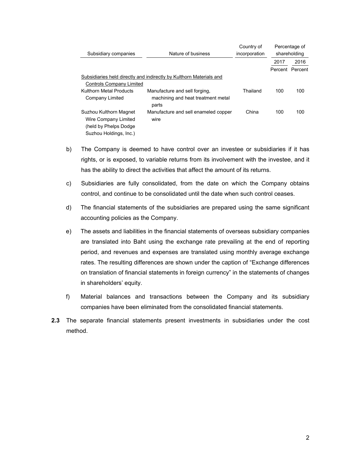| Subsidiary companies                             | Nature of business                                                  | Country of<br>incorporation | Percentage of<br>shareholding |      |
|--------------------------------------------------|---------------------------------------------------------------------|-----------------------------|-------------------------------|------|
|                                                  |                                                                     |                             | 2017                          | 2016 |
|                                                  |                                                                     |                             | Percent Percent               |      |
|                                                  | Subsidiaries held directly and indirectly by Kulthorn Materials and |                             |                               |      |
| <b>Controls Company Limited</b>                  |                                                                     |                             |                               |      |
| Kulthorn Metal Products                          | Manufacture and sell forging.                                       | Thailand                    | 100                           | 100  |
| Company Limited                                  | machining and heat treatment metal<br>parts                         |                             |                               |      |
| Suzhou Kulthorn Magnet<br>Wire Company Limited   | Manufacture and sell enameled copper<br>wire                        | China                       | 100                           | 100  |
| (held by Phelps Dodge)<br>Suzhou Holdings, Inc.) |                                                                     |                             |                               |      |

- b) The Company is deemed to have control over an investee or subsidiaries if it has rights, or is exposed, to variable returns from its involvement with the investee, and it has the ability to direct the activities that affect the amount of its returns.
- c) Subsidiaries are fully consolidated, from the date on which the Company obtains control, and continue to be consolidated until the date when such control ceases.
- d) The financial statements of the subsidiaries are prepared using the same significant accounting policies as the Company.
- e) The assets and liabilities in the financial statements of overseas subsidiary companies are translated into Baht using the exchange rate prevailing at the end of reporting period, and revenues and expenses are translated using monthly average exchange rates. The resulting differences are shown under the caption of "Exchange differences on translation of financial statements in foreign currency" in the statements of changes in shareholders' equity.
- f) Material balances and transactions between the Company and its subsidiary companies have been eliminated from the consolidated financial statements.
- **2.3** The separate financial statements present investments in subsidiaries under the cost method.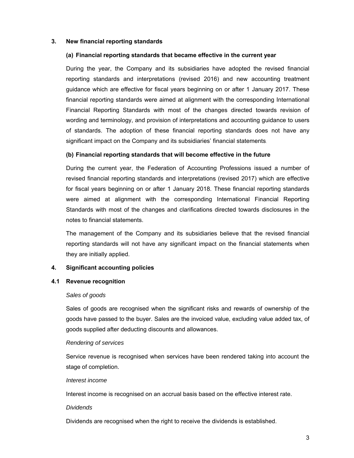### **3. New financial reporting standards**

#### **(a) Financial reporting standards that became effective in the current year**

 During the year, the Company and its subsidiaries have adopted the revised financial reporting standards and interpretations (revised 2016) and new accounting treatment guidance which are effective for fiscal years beginning on or after 1 January 2017. These financial reporting standards were aimed at alignment with the corresponding International Financial Reporting Standards with most of the changes directed towards revision of wording and terminology, and provision of interpretations and accounting guidance to users of standards. The adoption of these financial reporting standards does not have any significant impact on the Company and its subsidiaries' financial statements.

### **(b) Financial reporting standards that will become effective in the future**

During the current year, the Federation of Accounting Professions issued a number of revised financial reporting standards and interpretations (revised 2017) which are effective for fiscal years beginning on or after 1 January 2018. These financial reporting standards were aimed at alignment with the corresponding International Financial Reporting Standards with most of the changes and clarifications directed towards disclosures in the notes to financial statements.

 The management of the Company and its subsidiaries believe that the revised financial reporting standards will not have any significant impact on the financial statements when they are initially applied.

#### **4. Significant accounting policies**

#### **4.1 Revenue recognition**

#### *Sales of goods*

 Sales of goods are recognised when the significant risks and rewards of ownership of the goods have passed to the buyer. Sales are the invoiced value, excluding value added tax, of goods supplied after deducting discounts and allowances.

#### *Rendering of services*

 Service revenue is recognised when services have been rendered taking into account the stage of completion.

#### *Interest income*

Interest income is recognised on an accrual basis based on the effective interest rate.

#### *Dividends*

Dividends are recognised when the right to receive the dividends is established.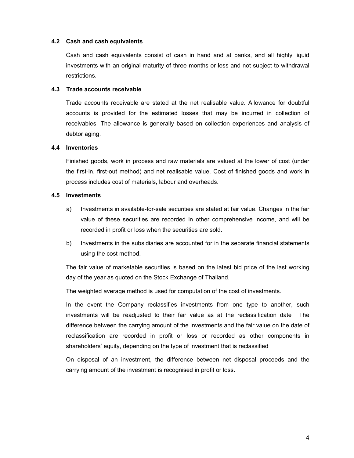#### **4.2 Cash and cash equivalents**

Cash and cash equivalents consist of cash in hand and at banks, and all highly liquid investments with an original maturity of three months or less and not subject to withdrawal restrictions.

### **4.3 Trade accounts receivable**

Trade accounts receivable are stated at the net realisable value. Allowance for doubtful accounts is provided for the estimated losses that may be incurred in collection of receivables. The allowance is generally based on collection experiences and analysis of debtor aging.

#### **4.4 Inventories**

Finished goods, work in process and raw materials are valued at the lower of cost (under the first-in, first-out method) and net realisable value. Cost of finished goods and work in process includes cost of materials, labour and overheads.

#### **4.5 Investments**

- a) Investments in available-for-sale securities are stated at fair value. Changes in the fair value of these securities are recorded in other comprehensive income, and will be recorded in profit or loss when the securities are sold.
- b) Investments in the subsidiaries are accounted for in the separate financial statements using the cost method.

The fair value of marketable securities is based on the latest bid price of the last working day of the year as quoted on the Stock Exchange of Thailand.

The weighted average method is used for computation of the cost of investments.

In the event the Company reclassifies investments from one type to another, such investments will be readjusted to their fair value as at the reclassification date. The difference between the carrying amount of the investments and the fair value on the date of reclassification are recorded in profit or loss or recorded as other components in shareholders' equity, depending on the type of investment that is reclassified.

On disposal of an investment, the difference between net disposal proceeds and the carrying amount of the investment is recognised in profit or loss.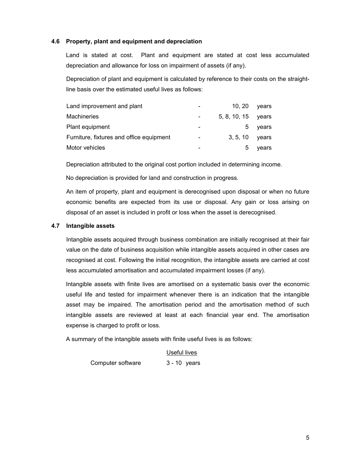### **4.6 Property, plant and equipment and depreciation**

Land is stated at cost. Plant and equipment are stated at cost less accumulated depreciation and allowance for loss on impairment of assets (if any).

Depreciation of plant and equipment is calculated by reference to their costs on the straightline basis over the estimated useful lives as follows:

| Land improvement and plant               | $\overline{\phantom{0}}$     | 10.20              | years |
|------------------------------------------|------------------------------|--------------------|-------|
| Machineries                              |                              | 5, 8, 10, 15 years |       |
| Plant equipment                          |                              | b                  | years |
| Furniture, fixtures and office equipment | $\qquad \qquad \blacksquare$ | 3, 5, 10           | vears |
| Motor vehicles                           | $\overline{\phantom{0}}$     | .5                 | years |

Depreciation attributed to the original cost portion included in determining income.

No depreciation is provided for land and construction in progress.

 An item of property, plant and equipment is derecognised upon disposal or when no future economic benefits are expected from its use or disposal. Any gain or loss arising on disposal of an asset is included in profit or loss when the asset is derecognised.

### **4.7 Intangible assets**

Intangible assets acquired through business combination are initially recognised at their fair value on the date of business acquisition while intangible assets acquired in other cases are recognised at cost. Following the initial recognition, the intangible assets are carried at cost less accumulated amortisation and accumulated impairment losses (if any).

Intangible assets with finite lives are amortised on a systematic basis over the economic useful life and tested for impairment whenever there is an indication that the intangible asset may be impaired. The amortisation period and the amortisation method of such intangible assets are reviewed at least at each financial year end. The amortisation expense is charged to profit or loss.

A summary of the intangible assets with finite useful lives is as follows:

 Useful lives Computer software 3 - 10 years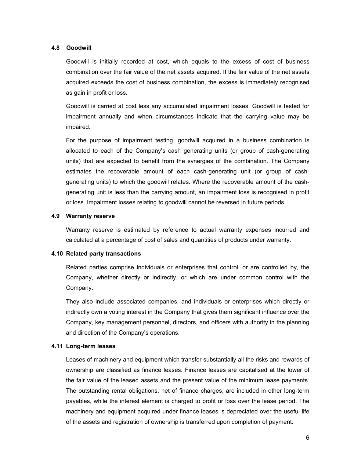#### **4.8 Goodwill**

 Goodwill is initially recorded at cost, which equals to the excess of cost of business combination over the fair value of the net assets acquired. If the fair value of the net assets acquired exceeds the cost of business combination, the excess is immediately recognised as gain in profit or loss.

 Goodwill is carried at cost less any accumulated impairment losses. Goodwill is tested for impairment annually and when circumstances indicate that the carrying value may be impaired.

 For the purpose of impairment testing, goodwill acquired in a business combination is allocated to each of the Company's cash generating units (or group of cash-generating units) that are expected to benefit from the synergies of the combination. The Company estimates the recoverable amount of each cash-generating unit (or group of cashgenerating units) to which the goodwill relates. Where the recoverable amount of the cashgenerating unit is less than the carrying amount, an impairment loss is recognised in profit or loss. Impairment losses relating to goodwill cannot be reversed in future periods.

### **4.9 Warranty reserve**

 Warranty reserve is estimated by reference to actual warranty expenses incurred and calculated at a percentage of cost of sales and quantities of products under warranty.

#### **4.10 Related party transactions**

 Related parties comprise individuals or enterprises that control, or are controlled by, the Company, whether directly or indirectly, or which are under common control with the Company.

 They also include associated companies, and individuals or enterprises which directly or indirectly own a voting interest in the Company that gives them significant influence over the Company, key management personnel, directors, and officers with authority in the planning and direction of the Company's operations.

#### **4.11 Long-term leases**

 Leases of machinery and equipment which transfer substantially all the risks and rewards of ownership are classified as finance leases. Finance leases are capitalised at the lower of the fair value of the leased assets and the present value of the minimum lease payments. The outstanding rental obligations, net of finance charges, are included in other long-term payables, while the interest element is charged to profit or loss over the lease period. The machinery and equipment acquired under finance leases is depreciated over the useful life of the assets and registration of ownership is transferred upon completion of payment.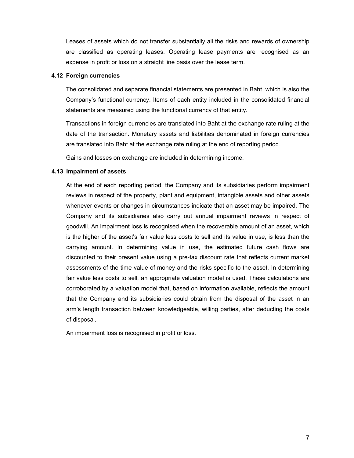Leases of assets which do not transfer substantially all the risks and rewards of ownership are classified as operating leases. Operating lease payments are recognised as an expense in profit or loss on a straight line basis over the lease term.

#### **4.12 Foreign currencies**

 The consolidated and separate financial statements are presented in Baht, which is also the Company's functional currency. Items of each entity included in the consolidated financial statements are measured using the functional currency of that entity.

 Transactions in foreign currencies are translated into Baht at the exchange rate ruling at the date of the transaction. Monetary assets and liabilities denominated in foreign currencies are translated into Baht at the exchange rate ruling at the end of reporting period.

Gains and losses on exchange are included in determining income.

### **4.13 Impairment of assets**

 At the end of each reporting period, the Company and its subsidiaries perform impairment reviews in respect of the property, plant and equipment, intangible assets and other assets whenever events or changes in circumstances indicate that an asset may be impaired. The Company and its subsidiaries also carry out annual impairment reviews in respect of goodwill. An impairment loss is recognised when the recoverable amount of an asset, which is the higher of the asset's fair value less costs to sell and its value in use, is less than the carrying amount. In determining value in use, the estimated future cash flows are discounted to their present value using a pre-tax discount rate that reflects current market assessments of the time value of money and the risks specific to the asset. In determining fair value less costs to sell, an appropriate valuation model is used. These calculations are corroborated by a valuation model that, based on information available, reflects the amount that the Company and its subsidiaries could obtain from the disposal of the asset in an arm's length transaction between knowledgeable, willing parties, after deducting the costs of disposal.

An impairment loss is recognised in profit or loss.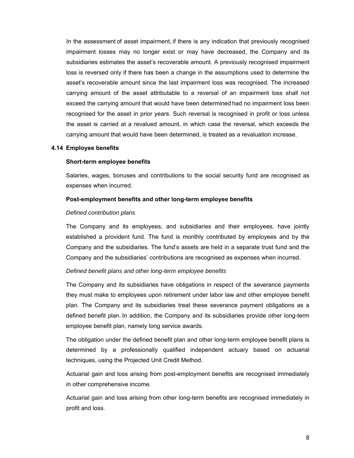In the assessment of asset impairment, if there is any indication that previously recognised impairment losses may no longer exist or may have decreased, the Company and its subsidiaries estimates the asset's recoverable amount. A previously recognised impairment loss is reversed only if there has been a change in the assumptions used to determine the asset's recoverable amount since the last impairment loss was recognised. The increased carrying amount of the asset attributable to a reversal of an impairment loss shall not exceed the carrying amount that would have been determined had no impairment loss been recognised for the asset in prior years. Such reversal is recognised in profit or loss unless the asset is carried at a revalued amount, in which case the reversal, which exceeds the carrying amount that would have been determined, is treated as a revaluation increase.

#### **4.14 Employee benefits**

#### **Short-term employee benefits**

 Salaries, wages, bonuses and contributions to the social security fund are recognised as expenses when incurred.

#### **Post-employment benefits and other long-term employee benefits**

#### *Defined contribution plans*

 The Company and its employees, and subsidiaries and their employees, have jointly established a provident fund. The fund is monthly contributed by employees and by the Company and the subsidiaries. The fund's assets are held in a separate trust fund and the Company and the subsidiaries' contributions are recognised as expenses when incurred.

#### *Defined benefit plans and other long-term employee benefits*

 The Company and its subsidiaries have obligations in respect of the severance payments they must make to employees upon retirement under labor law and other employee benefit plan. The Company and its subsidiaries treat these severance payment obligations as a defined benefit plan. In addition, the Company and its subsidiaries provide other long-term employee benefit plan, namely long service awards.

 The obligation under the defined benefit plan and other long-term employee benefit plans is determined by a professionally qualified independent actuary based on actuarial techniques, using the Projected Unit Credit Method.

Actuarial gain and loss arising from post-employment benefits are recognised immediately in other comprehensive income.

Actuarial gain and loss arising from other long-term benefits are recognised immediately in profit and loss.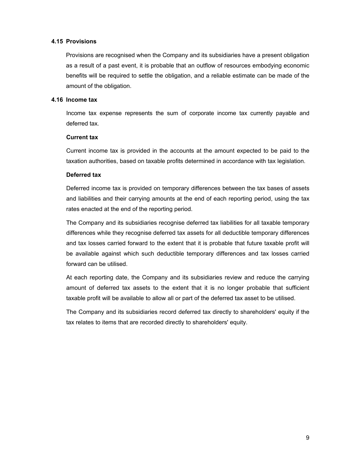### **4.15 Provisions**

Provisions are recognised when the Company and its subsidiaries have a present obligation as a result of a past event, it is probable that an outflow of resources embodying economic benefits will be required to settle the obligation, and a reliable estimate can be made of the amount of the obligation.

### **4.16 Income tax**

 Income tax expense represents the sum of corporate income tax currently payable and deferred tax.

### **Current tax**

 Current income tax is provided in the accounts at the amount expected to be paid to the taxation authorities, based on taxable profits determined in accordance with tax legislation.

### **Deferred tax**

 Deferred income tax is provided on temporary differences between the tax bases of assets and liabilities and their carrying amounts at the end of each reporting period, using the tax rates enacted at the end of the reporting period.

 The Company and its subsidiaries recognise deferred tax liabilities for all taxable temporary differences while they recognise deferred tax assets for all deductible temporary differences and tax losses carried forward to the extent that it is probable that future taxable profit will be available against which such deductible temporary differences and tax losses carried forward can be utilised.

 At each reporting date, the Company and its subsidiaries review and reduce the carrying amount of deferred tax assets to the extent that it is no longer probable that sufficient taxable profit will be available to allow all or part of the deferred tax asset to be utilised.

 The Company and its subsidiaries record deferred tax directly to shareholders' equity if the tax relates to items that are recorded directly to shareholders' equity.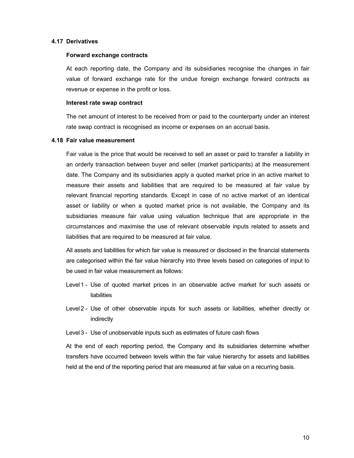#### **4.17 Derivatives**

#### **Forward exchange contracts**

 At each reporting date, the Company and its subsidiaries recognise the changes in fair value of forward exchange rate for the undue foreign exchange forward contracts as revenue or expense in the profit or loss.

#### **Interest rate swap contract**

 The net amount of interest to be received from or paid to the counterparty under an interest rate swap contract is recognised as income or expenses on an accrual basis.

### **4.18 Fair value measurement**

 Fair value is the price that would be received to sell an asset or paid to transfer a liability in an orderly transaction between buyer and seller (market participants) at the measurement date. The Company and its subsidiaries apply a quoted market price in an active market to measure their assets and liabilities that are required to be measured at fair value by relevant financial reporting standards. Except in case of no active market of an identical asset or liability or when a quoted market price is not available, the Company and its subsidiaries measure fair value using valuation technique that are appropriate in the circumstances and maximise the use of relevant observable inputs related to assets and liabilities that are required to be measured at fair value.

 All assets and liabilities for which fair value is measured or disclosed in the financial statements are categorised within the fair value hierarchy into three levels based on categories of input to be used in fair value measurement as follows:

- Level1 Use of quoted market prices in an observable active market for such assets or liabilities
- Level2 Use of other observable inputs for such assets or liabilities, whether directly or indirectly
- Level3 Use of unobservable inputs such as estimates of future cash flows

 At the end of each reporting period, the Company and its subsidiaries determine whether transfers have occurred between levels within the fair value hierarchy for assets and liabilities held at the end of the reporting period that are measured at fair value on a recurring basis.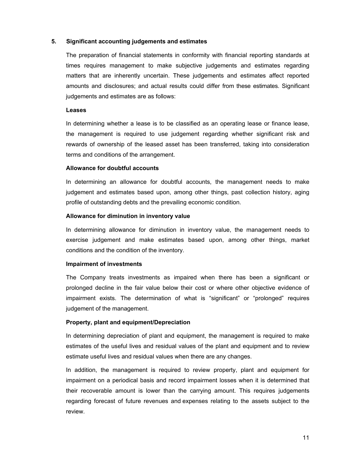#### **5. Significant accounting judgements and estimates**

 The preparation of financial statements in conformity with financial reporting standards at times requires management to make subjective judgements and estimates regarding matters that are inherently uncertain. These judgements and estimates affect reported amounts and disclosures; and actual results could differ from these estimates. Significant judgements and estimates are as follows:

#### **Leases**

 In determining whether a lease is to be classified as an operating lease or finance lease, the management is required to use judgement regarding whether significant risk and rewards of ownership of the leased asset has been transferred, taking into consideration terms and conditions of the arrangement.

### **Allowance for doubtful accounts**

 In determining an allowance for doubtful accounts, the management needs to make judgement and estimates based upon, among other things, past collection history, aging profile of outstanding debts and the prevailing economic condition.

### **Allowance for diminution in inventory value**

 In determining allowance for diminution in inventory value, the management needs to exercise judgement and make estimates based upon, among other things, market conditions and the condition of the inventory.

### **Impairment of investments**

 The Company treats investments as impaired when there has been a significant or prolonged decline in the fair value below their cost or where other objective evidence of impairment exists. The determination of what is "significant" or "prolonged" requires judgement of the management.

### **Property, plant and equipment/Depreciation**

In determining depreciation of plant and equipment, the management is required to make estimates of the useful lives and residual values of the plant and equipment and to review estimate useful lives and residual values when there are any changes.

In addition, the management is required to review property, plant and equipment for impairment on a periodical basis and record impairment losses when it is determined that their recoverable amount is lower than the carrying amount. This requires judgements regarding forecast of future revenues and expenses relating to the assets subject to the review.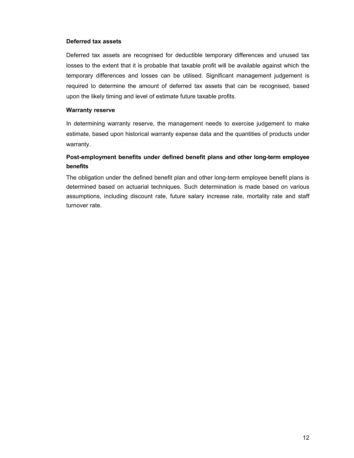### **Deferred tax assets**

Deferred tax assets are recognised for deductible temporary differences and unused tax losses to the extent that it is probable that taxable profit will be available against which the temporary differences and losses can be utilised. Significant management judgement is required to determine the amount of deferred tax assets that can be recognised, based upon the likely timing and level of estimate future taxable profits.

#### **Warranty reserve**

In determining warranty reserve, the management needs to exercise judgement to make estimate, based upon historical warranty expense data and the quantities of products under warranty.

# **Post-employment benefits under defined benefit plans and other long-term employee benefits**

The obligation under the defined benefit plan and other long-term employee benefit plans is determined based on actuarial techniques. Such determination is made based on various assumptions, including discount rate, future salary increase rate, mortality rate and staff turnover rate.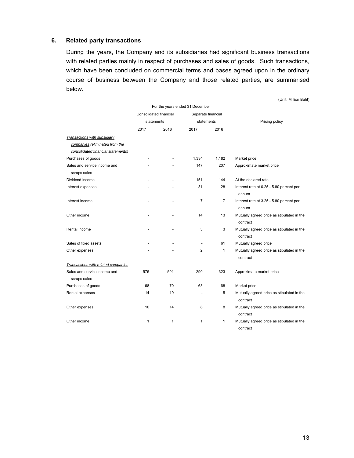### **6. Related party transactions**

During the years, the Company and its subsidiaries had significant business transactions with related parties mainly in respect of purchases and sales of goods. Such transactions, which have been concluded on commercial terms and bases agreed upon in the ordinary course of business between the Company and those related parties, are summarised below.

|                                     |                        |      |                                 |                | (Unit: Million Baht)                                   |
|-------------------------------------|------------------------|------|---------------------------------|----------------|--------------------------------------------------------|
|                                     |                        |      | For the years ended 31 December |                |                                                        |
|                                     | Consolidated financial |      | Separate financial              |                |                                                        |
|                                     | statements             |      | statements                      |                | Pricing policy                                         |
|                                     | 2017                   | 2016 | 2017                            | 2016           |                                                        |
| Transactions with subsidiary        |                        |      |                                 |                |                                                        |
| companies (eliminated from the      |                        |      |                                 |                |                                                        |
| consolidated financial statements)  |                        |      |                                 |                |                                                        |
| Purchases of goods                  |                        |      | 1,334                           | 1,182          | Market price                                           |
| Sales and service income and        |                        |      | 147                             | 207            | Approximate market price                               |
| scraps sales                        |                        |      |                                 |                |                                                        |
| Dividend income                     |                        |      | 151                             | 144            | At the declared rate                                   |
| Interest expenses                   |                        |      | 31                              | 28             | Interest rate at 0.25 - 5.80 percent per<br>annum      |
| Interest income                     |                        |      | $\overline{7}$                  | $\overline{7}$ | Interest rate at 3.25 - 5.80 percent per<br>annum      |
| Other income                        |                        |      | 14                              | 13             | Mutually agreed price as stipulated in the<br>contract |
| Rental income                       |                        |      | 3                               | 3              | Mutually agreed price as stipulated in the<br>contract |
| Sales of fixed assets               |                        |      | $\overline{\phantom{a}}$        | 61             | Mutually agreed price                                  |
| Other expenses                      |                        |      | $\overline{2}$                  | 1              | Mutually agreed price as stipulated in the<br>contract |
| Transactions with related companies |                        |      |                                 |                |                                                        |
| Sales and service income and        | 576                    | 591  | 290                             | 323            | Approximate market price                               |
| scraps sales                        |                        | 70   |                                 |                |                                                        |
| Purchases of goods                  | 68<br>14               | 19   | 68                              | 68<br>5        | Market price                                           |
| Rental expenses                     |                        |      | $\overline{\phantom{a}}$        |                | Mutually agreed price as stipulated in the<br>contract |
| Other expenses                      | 10                     | 14   | 8                               | 8              | Mutually agreed price as stipulated in the<br>contract |
| Other income                        | 1                      | 1    | $\mathbf{1}$                    | 1              | Mutually agreed price as stipulated in the<br>contract |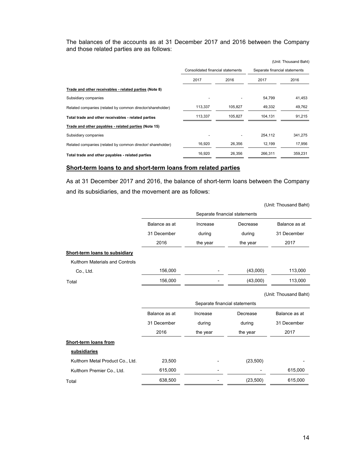The balances of the accounts as at 31 December 2017 and 2016 between the Company and those related parties are as follows:

|                                                             |                                   |         |                               | (Unit: Thousand Baht) |  |
|-------------------------------------------------------------|-----------------------------------|---------|-------------------------------|-----------------------|--|
|                                                             | Consolidated financial statements |         | Separate financial statements |                       |  |
|                                                             | 2017                              | 2016    | 2017                          | 2016                  |  |
| Trade and other receivables - related parties (Note 8)      |                                   |         |                               |                       |  |
| Subsidiary companies                                        |                                   |         | 54,799                        | 41,453                |  |
| Related companies (related by common director/shareholder)  | 113,337                           | 105,827 | 49,332                        | 49,762                |  |
| Total trade and other receivables - related parties         | 113,337                           | 105,827 | 104,131                       | 91,215                |  |
| Trade and other payables - related parties (Note 15)        |                                   |         |                               |                       |  |
| Subsidiary companies                                        |                                   |         | 254,112                       | 341,275               |  |
| Related companies (related by common director/ shareholder) | 16,920                            | 26,356  | 12,199                        | 17,956                |  |
| Total trade and other payables - related parties            | 16,920                            | 26,356  | 266.311                       | 359,231               |  |

### **Short-term loans to and short-term loans from related parties**

As at 31 December 2017 and 2016, the balance of short-term loans between the Company and its subsidiaries, and the movement are as follows:

|                                  |               |                               |           | (Unit: Thousand Baht) |  |  |  |  |
|----------------------------------|---------------|-------------------------------|-----------|-----------------------|--|--|--|--|
|                                  |               | Separate financial statements |           |                       |  |  |  |  |
|                                  | Balance as at | Increase                      | Decrease  | Balance as at         |  |  |  |  |
|                                  | 31 December   | during                        | during    | 31 December           |  |  |  |  |
|                                  | 2016          | the year                      | the year  | 2017                  |  |  |  |  |
| Short-term loans to subsidiary   |               |                               |           |                       |  |  |  |  |
| Kulthorn Materials and Controls  |               |                               |           |                       |  |  |  |  |
| Co., Ltd.                        | 156,000       |                               | (43,000)  | 113,000               |  |  |  |  |
| Total                            | 156,000       |                               | (43,000)  | 113,000               |  |  |  |  |
|                                  |               |                               |           | (Unit: Thousand Baht) |  |  |  |  |
|                                  |               | Separate financial statements |           |                       |  |  |  |  |
|                                  | Balance as at | Increase                      | Decrease  | Balance as at         |  |  |  |  |
|                                  | 31 December   | during                        | during    | 31 December           |  |  |  |  |
|                                  | 2016          | the year                      | the year  | 2017                  |  |  |  |  |
| Short-term loans from            |               |                               |           |                       |  |  |  |  |
| subsidiaries                     |               |                               |           |                       |  |  |  |  |
| Kulthorn Metal Product Co., Ltd. | 23,500        |                               | (23,500)  |                       |  |  |  |  |
| Kulthorn Premier Co., Ltd.       | 615,000       |                               |           | 615,000               |  |  |  |  |
| Total                            | 638,500       |                               | (23, 500) | 615,000               |  |  |  |  |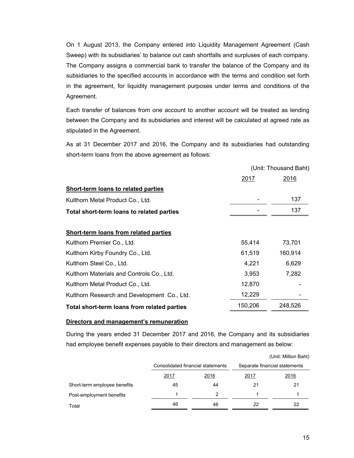On 1 August 2013, the Company entered into Liquidity Management Agreement (Cash Sweep) with its subsidiaries' to balance out cash shortfalls and surpluses of each company. The Company assigns a commercial bank to transfer the balance of the Company and its subsidiaries to the specified accounts in accordance with the terms and condition set forth in the agreement, for liquidity management purposes under terms and conditions of the Agreement.

 Each transfer of balances from one account to another account will be treated as lending between the Company and its subsidiaries and interest will be calculated at agreed rate as stipulated in the Agreement.

 As at 31 December 2017 and 2016, the Company and its subsidiaries had outstanding short-term loans from the above agreement as follows:

|                                             | (Unit: Thousand Baht) |             |  |
|---------------------------------------------|-----------------------|-------------|--|
|                                             | 2017                  | <u>2016</u> |  |
| <b>Short-term loans to related parties</b>  |                       |             |  |
| Kulthorn Metal Product Co., Ltd.            |                       | 137         |  |
| Total short-term loans to related parties   |                       | 137         |  |
|                                             |                       |             |  |
| Short-term loans from related parties       |                       |             |  |
| Kulthorn Premier Co., Ltd.                  | 55,414                | 73,701      |  |
| Kulthorn Kirby Foundry Co., Ltd.            | 61,519                | 160,914     |  |
| Kulthorn Steel Co., Ltd.                    | 4,221                 | 6,629       |  |
| Kulthorn Materials and Controls Co., Ltd.   | 3,953                 | 7,282       |  |
| Kulthorn Metal Product Co., Ltd.            | 12,870                |             |  |
| Kulthorn Research and Development Co., Ltd. | 12,229                |             |  |
| Total short-term loans from related parties | 150,206               | 248,526     |  |

### **Directors and management's remuneration**

During the years ended 31 December 2017 and 2016, the Company and its subsidiaries had employee benefit expenses payable to their directors and management as below:

|                              |      |                                   |                               | (Unit: Million Baht) |
|------------------------------|------|-----------------------------------|-------------------------------|----------------------|
|                              |      | Consolidated financial statements | Separate financial statements |                      |
|                              | 2017 | 2016                              |                               | <u> 2016</u>         |
| Short-term employee benefits | 45   | 44                                | 21                            | 21                   |
| Post-employment benefits     |      | 2                                 |                               |                      |
| Total                        | 46   | 46                                | 22                            | 22                   |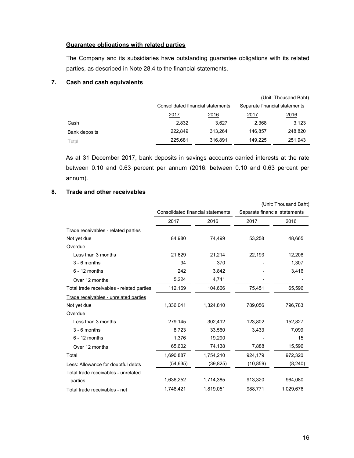### **Guarantee obligations with related parties**

The Company and its subsidiaries have outstanding guarantee obligations with its related parties, as described in Note 28.4 to the financial statements.

### **7. Cash and cash equivalents**

|               | (Unit: Thousand Baht)             |             |                               |              |  |  |  |
|---------------|-----------------------------------|-------------|-------------------------------|--------------|--|--|--|
|               | Consolidated financial statements |             | Separate financial statements |              |  |  |  |
|               | 2017                              | <u>2016</u> | <u> 2017 </u>                 | <u> 2016</u> |  |  |  |
| Cash          | 2,832                             | 3.627       | 2,368                         | 3,123        |  |  |  |
| Bank deposits | 222.849                           | 313,264     | 146,857                       | 248,820      |  |  |  |
| Total         | 225,681                           | 316,891     | 149.225                       | 251,943      |  |  |  |

As at 31 December 2017, bank deposits in savings accounts carried interests at the rate between 0.10 and 0.63 percent per annum (2016: between 0.10 and 0.63 percent per annum).

# **8. Trade and other receivables**

|                                           |                                   |           | (Unit: Thousand Baht)         |           |  |
|-------------------------------------------|-----------------------------------|-----------|-------------------------------|-----------|--|
|                                           | Consolidated financial statements |           | Separate financial statements |           |  |
|                                           | 2017                              | 2016      | 2017                          | 2016      |  |
| Trade receivables - related parties       |                                   |           |                               |           |  |
| Not yet due                               | 84,980                            | 74,499    | 53,258                        | 48,665    |  |
| Overdue                                   |                                   |           |                               |           |  |
| Less than 3 months                        | 21,629                            | 21,214    | 22,193                        | 12,208    |  |
| $3 - 6$ months                            | 94                                | 370       |                               | 1,307     |  |
| $6 - 12$ months                           | 242                               | 3,842     |                               | 3,416     |  |
| Over 12 months                            | 5,224                             | 4,741     |                               |           |  |
| Total trade receivables - related parties | 112,169                           | 104,666   | 75,451                        | 65,596    |  |
| Trade receivables - unrelated parties     |                                   |           |                               |           |  |
| Not yet due                               | 1,336,041                         | 1,324,810 | 789,056                       | 796,783   |  |
| Overdue                                   |                                   |           |                               |           |  |
| Less than 3 months                        | 279,145                           | 302,412   | 123,802                       | 152,827   |  |
| $3 - 6$ months                            | 8,723                             | 33,560    | 3,433                         | 7,099     |  |
| $6 - 12$ months                           | 1,376                             | 19,290    |                               | 15        |  |
| Over 12 months                            | 65,602                            | 74,138    | 7,888                         | 15,596    |  |
| Total                                     | 1,690,887                         | 1,754,210 | 924,179                       | 972,320   |  |
| Less: Allowance for doubtful debts        | (54, 635)                         | (39, 825) | (10, 859)                     | (8, 240)  |  |
| Total trade receivables - unrelated       |                                   |           |                               |           |  |
| parties                                   | 1,636,252                         | 1,714,385 | 913,320                       | 964,080   |  |
| Total trade receivables - net             | 1,748,421                         | 1,819,051 | 988,771                       | 1,029,676 |  |
|                                           |                                   |           |                               |           |  |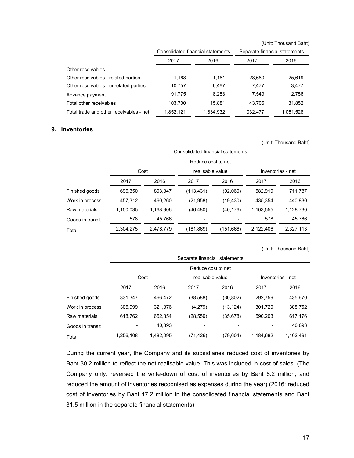|                                         |                                   |           |                               | (Unit: Thousand Baht) |  |
|-----------------------------------------|-----------------------------------|-----------|-------------------------------|-----------------------|--|
|                                         | Consolidated financial statements |           | Separate financial statements |                       |  |
|                                         | 2017                              | 2016      | 2017                          | 2016                  |  |
| Other receivables                       |                                   |           |                               |                       |  |
| Other receivables - related parties     | 1,168                             | 1,161     | 28,680                        | 25,619                |  |
| Other receivables - unrelated parties   | 10,757                            | 6,467     | 7,477                         | 3,477                 |  |
| Advance payment                         | 91,775                            | 8,253     | 7.549                         | 2,756                 |  |
| Total other receivables                 | 103,700                           | 15,881    | 43,706                        | 31,852                |  |
| Total trade and other receivables - net | 1,852,121                         | 1,834,932 | 1,032,477                     | 1,061,528             |  |

#### **9. Inventories**

|                  |           |                                   |                  |            |           | (Unit: Thousand Baht) |  |  |  |  |  |  |
|------------------|-----------|-----------------------------------|------------------|------------|-----------|-----------------------|--|--|--|--|--|--|
|                  |           | Consolidated financial statements |                  |            |           |                       |  |  |  |  |  |  |
|                  |           | Reduce cost to net                |                  |            |           |                       |  |  |  |  |  |  |
|                  |           | Cost                              | realisable value |            |           | Inventories - net     |  |  |  |  |  |  |
|                  | 2017      | 2016                              | 2017             | 2016       | 2017      | 2016                  |  |  |  |  |  |  |
| Finished goods   | 696,350   | 803,847                           | (113, 431)       | (92,060)   | 582,919   | 711,787               |  |  |  |  |  |  |
| Work in process  | 457,312   | 460,260                           | (21, 958)        | (19, 430)  | 435,354   | 440,830               |  |  |  |  |  |  |
| Raw materials    | 1,150,035 | 1,168,906                         | (46, 480)        | (40, 176)  | 1,103,555 | 1,128,730             |  |  |  |  |  |  |
| Goods in transit | 578       | 45,766                            |                  |            | 578       | 45,766                |  |  |  |  |  |  |
| Total            | 2,304,275 | 2,478,779                         | (181, 869)       | (151, 666) | 2,122,406 | 2,327,113             |  |  |  |  |  |  |
|                  |           |                                   |                  |            |           |                       |  |  |  |  |  |  |

(Unit: Thousand Baht)

|                  |           | Separate financial statements |                  |           |           |                   |  |  |  |  |  |  |  |
|------------------|-----------|-------------------------------|------------------|-----------|-----------|-------------------|--|--|--|--|--|--|--|
|                  |           | Reduce cost to net            |                  |           |           |                   |  |  |  |  |  |  |  |
|                  | Cost      |                               | realisable value |           |           | Inventories - net |  |  |  |  |  |  |  |
|                  | 2017      | 2016                          | 2017             | 2016      | 2017      | 2016              |  |  |  |  |  |  |  |
| Finished goods   | 331,347   | 466.472                       | (38, 588)        | (30, 802) | 292,759   | 435,670           |  |  |  |  |  |  |  |
| Work in process  | 305.999   | 321.876                       | (4,279)          | (13, 124) | 301,720   | 308,752           |  |  |  |  |  |  |  |
| Raw materials    | 618,762   | 652.854                       | (28, 559)        | (35, 678) | 590,203   | 617,176           |  |  |  |  |  |  |  |
| Goods in transit |           | 40,893                        |                  |           |           | 40,893            |  |  |  |  |  |  |  |
| Total            | 1,256,108 | 1,482,095                     | (71,426)         | (79, 604) | 1,184,682 | 1,402,491         |  |  |  |  |  |  |  |
|                  |           |                               |                  |           |           |                   |  |  |  |  |  |  |  |

 During the current year, the Company and its subsidiaries reduced cost of inventories by Baht 30.2 million to reflect the net realisable value. This was included in cost of sales. (The Company only: reversed the write-down of cost of inventories by Baht 8.2 million, and reduced the amount of inventories recognised as expenses during the year) (2016: reduced cost of inventories by Baht 17.2 million in the consolidated financial statements and Baht 31.5 million in the separate financial statements).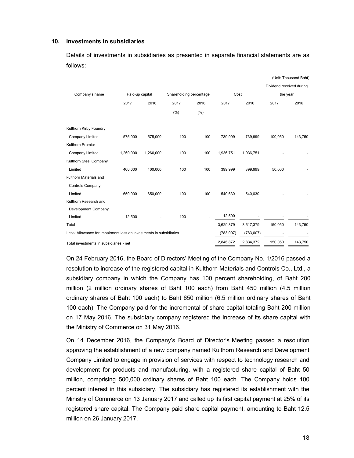#### **10. Investments in subsidiaries**

 Details of investments in subsidiaries as presented in separate financial statements are as follows:

|                                                                    |                 |           |                         |      |           |           | Dividend received during |         |
|--------------------------------------------------------------------|-----------------|-----------|-------------------------|------|-----------|-----------|--------------------------|---------|
| Company's name                                                     | Paid-up capital |           | Shareholding percentage |      | Cost      |           | the year                 |         |
|                                                                    | 2017            | 2016      | 2017                    | 2016 | 2017      | 2016      | 2017                     | 2016    |
|                                                                    |                 |           | (% )                    | (% ) |           |           |                          |         |
| Kulthorn Kirby Foundry                                             |                 |           |                         |      |           |           |                          |         |
| <b>Company Limited</b>                                             | 575,000         | 575,000   | 100                     | 100  | 739,999   | 739,999   | 100,050                  | 143,750 |
| <b>Kulthorn Premier</b>                                            |                 |           |                         |      |           |           |                          |         |
| <b>Company Limited</b>                                             | 1,260,000       | 1,260,000 | 100                     | 100  | 1,936,751 | 1,936,751 |                          |         |
| Kulthorn Steel Company                                             |                 |           |                         |      |           |           |                          |         |
| Limited                                                            | 400,000         | 400,000   | 100                     | 100  | 399,999   | 399.999   | 50,000                   |         |
| kulthorn Materials and                                             |                 |           |                         |      |           |           |                          |         |
| Controls Company                                                   |                 |           |                         |      |           |           |                          |         |
| Limited                                                            | 650,000         | 650,000   | 100                     | 100  | 540.630   | 540,630   |                          |         |
| Kulthorn Research and                                              |                 |           |                         |      |           |           |                          |         |
| Development Company                                                |                 |           |                         |      |           |           |                          |         |
| Limited                                                            | 12,500          |           | 100                     |      | 12,500    |           |                          |         |
| Total                                                              |                 |           |                         |      | 3,629,879 | 3,617,379 | 150,050                  | 143,750 |
| Less: Allowance for impairment loss on investments in subsidiaries |                 |           |                         |      | (783,007) | (783,007) |                          |         |
| Total investments in subsidiaries - net                            |                 |           |                         |      | 2,846,872 | 2,834,372 | 150,050                  | 143,750 |

On 24 February 2016, the Board of Directors' Meeting of the Company No. 1/2016 passed a resolution to increase of the registered capital in Kulthorn Materials and Controls Co., Ltd., a subsidiary company in which the Company has 100 percent shareholding, of Baht 200 million (2 million ordinary shares of Baht 100 each) from Baht 450 million (4.5 million ordinary shares of Baht 100 each) to Baht 650 million (6.5 million ordinary shares of Baht 100 each). The Company paid for the incremental of share capital totaling Baht 200 million on 17 May 2016. The subsidiary company registered the increase of its share capital with the Ministry of Commerce on 31 May 2016.

 On 14 December 2016, the Company's Board of Director's Meeting passed a resolution approving the establishment of a new company named Kulthorn Research and Development Company Limited to engage in provision of services with respect to technology research and development for products and manufacturing, with a registered share capital of Baht 50 million, comprising 500,000 ordinary shares of Baht 100 each. The Company holds 100 percent interest in this subsidiary. The subsidiary has registered its establishment with the Ministry of Commerce on 13 January 2017 and called up its first capital payment at 25% of its registered share capital. The Company paid share capital payment, amounting to Baht 12.5 million on 26 January 2017.

(Unit: Thousand Baht)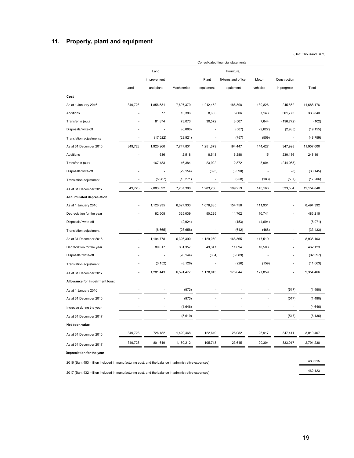# **11. Property, plant and equipment**

(Unit: Thousand Baht)

|                                                                                                    |                          |             |             |                | Consolidated financial statements |          |                          |            |
|----------------------------------------------------------------------------------------------------|--------------------------|-------------|-------------|----------------|-----------------------------------|----------|--------------------------|------------|
|                                                                                                    |                          | Land        |             |                | Furniture,                        |          |                          |            |
|                                                                                                    |                          | improvement |             | Plant          | fixtures and office               | Motor    | Construction             |            |
|                                                                                                    | Land                     | and plant   | Machineries | equipment      | equipment                         | vehicles | in progress              | Total      |
| Cost                                                                                               |                          |             |             |                |                                   |          |                          |            |
| As at 1 January 2016                                                                               | 349,728                  | 1,856,531   | 7,697,379   | 1,212,452      | 186,398                           | 139,826  | 245,862                  | 11,688,176 |
| Additions                                                                                          |                          | 77          | 13,386      | 8,655          | 5,806                             | 7,143    | 301,773                  | 336,840    |
| Transfer in (out)                                                                                  |                          | 81,874      | 73,073      | 30,572         | 3,507                             | 7,644    | (196, 772)               | (102)      |
| Disposals/write-off                                                                                |                          |             | (6,086)     |                | (507)                             | (9,627)  | (2,935)                  | (19, 155)  |
| <b>Translation adjustments</b>                                                                     | $\overline{\phantom{a}}$ | (17, 522)   | (29, 921)   | $\overline{a}$ | (757)                             | (559)    | $\overline{\phantom{a}}$ | (48, 759)  |
| As at 31 December 2016                                                                             | 349,728                  | 1,920,960   | 7,747,831   | 1,251,679      | 194,447                           | 144,427  | 347,928                  | 11,957,000 |
| Additions                                                                                          |                          | 636         | 2,518       | 8,548          | 6,288                             | 15       | 230,186                  | 248,191    |
| Transfer in (out)                                                                                  |                          | 167,483     | 46,384      | 23,922         | 2,372                             | 3,904    | (244, 065)               |            |
| Disposals/write-off                                                                                |                          |             | (29, 154)   | (393)          | (3,590)                           |          | (8)                      | (33, 145)  |
| Translation adjustment                                                                             | $\overline{\phantom{a}}$ | (5,987)     | (10, 271)   | $\overline{a}$ | (258)                             | (183)    | (507)                    | (17, 206)  |
| As at 31 December 2017                                                                             | 349,728                  | 2,083,092   | 7,757,308   | 1,283,756      | 199,259                           | 148,163  | 333,534                  | 12,154,840 |
| <b>Accumulated depreciation</b>                                                                    |                          |             |             |                |                                   |          |                          |            |
| As at 1 January 2016                                                                               |                          | 1,120,935   | 6,027,933   | 1,078,835      | 154,758                           | 111,931  |                          | 8,494,392  |
| Depreciation for the year                                                                          |                          | 82,508      | 325,039     | 50,225         | 14,702                            | 10,741   |                          | 483,215    |
| Disposals/ write-off                                                                               |                          |             | (2,924)     |                | (453)                             | (4,694)  |                          | (8,071)    |
| Translation adjustment                                                                             |                          | (8,665)     | (23, 658)   |                | (642)                             | (468)    | ÷.                       | (33, 433)  |
| As at 31 December 2016                                                                             |                          | 1,194,778   | 6,326,390   | 1,129,060      | 168,365                           | 117,510  |                          | 8,936,103  |
| Depreciation for the year                                                                          |                          | 89,817      | 301,357     | 49,347         | 11,094                            | 10,508   |                          | 462,123    |
| Disposals/ write-off                                                                               |                          | L,          | (28, 144)   | (364)          | (3,589)                           |          |                          | (32,097)   |
| Translation adjustment                                                                             |                          | (3, 152)    | (8, 126)    |                | (226)                             | (159)    |                          | (11,663)   |
| As at 31 December 2017                                                                             | $\overline{a}$           | 1,281,443   | 6,591,477   | 1,178,043      | 175,644                           | 127,859  |                          | 9,354,466  |
| Allowance for impairment loss:                                                                     |                          |             |             |                |                                   |          |                          |            |
| As at 1 January 2016                                                                               |                          |             | (973)       |                |                                   |          | (517)                    | (1,490)    |
| As at 31 December 2016                                                                             |                          |             | (973)       |                |                                   |          | (517)                    | (1,490)    |
| Increase during the year                                                                           |                          |             | (4,646)     |                |                                   |          |                          | (4,646)    |
| As at 31 December 2017                                                                             |                          |             | (5,619)     |                |                                   |          | (517)                    | (6, 136)   |
| Net book value                                                                                     |                          |             |             |                |                                   |          |                          |            |
| As at 31 December 2016                                                                             | 349,728                  | 726,182     | 1,420,468   | 122,619        | 26,082                            | 26,917   | 347,411                  | 3,019,407  |
|                                                                                                    | 349,728                  | 801,649     | 1,160,212   | 105,713        | 23,615                            | 20,304   | 333,017                  | 2,794,238  |
| As at 31 December 2017<br>Depreciation for the year                                                |                          |             |             |                |                                   |          |                          |            |
|                                                                                                    |                          |             |             |                |                                   |          |                          | 483,215    |
| 2016 (Baht 453 million included in manufacturing cost, and the balance in administrative expenses) |                          |             |             |                |                                   |          |                          |            |

2017 (Baht 432 million included in manufacturing cost, and the balance in administrative expenses) 462,123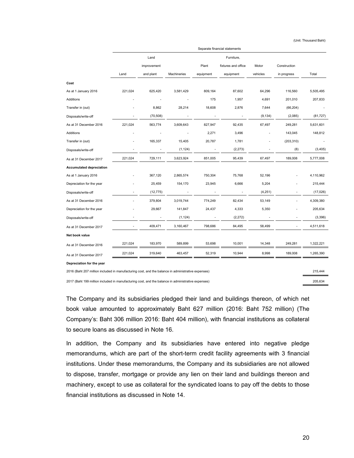(Unit: Thousand Baht)

|                                                                                                    | Separate financial statements |             |             |                          |                     |          |                              |           |  |  |  |
|----------------------------------------------------------------------------------------------------|-------------------------------|-------------|-------------|--------------------------|---------------------|----------|------------------------------|-----------|--|--|--|
|                                                                                                    |                               | Land        |             |                          | Furniture,          |          |                              |           |  |  |  |
|                                                                                                    |                               | improvement |             | Plant                    | fixtures and office | Motor    | Construction                 |           |  |  |  |
|                                                                                                    | Land                          | and plant   | Machineries | equipment                | equipment           | vehicles | in progress                  | Total     |  |  |  |
| Cost                                                                                               |                               |             |             |                          |                     |          |                              |           |  |  |  |
| As at 1 January 2016                                                                               | 221,024                       | 625,420     | 3,581,429   | 809,164                  | 87,602              | 64,296   | 116,560                      | 5,505,495 |  |  |  |
| Additions                                                                                          |                               |             |             | 175                      | 1,957               | 4,691    | 201,010                      | 207,833   |  |  |  |
| Transfer in (out)                                                                                  |                               | 8,862       | 28,214      | 18,608                   | 2,876               | 7,644    | (66, 204)                    |           |  |  |  |
| Disposals/write-off                                                                                | $\overline{\phantom{a}}$      | (70, 508)   |             | $\overline{\phantom{a}}$ | $\overline{a}$      | (9, 134) | (2,085)                      | (81, 727) |  |  |  |
| As at 31 December 2016                                                                             | 221,024                       | 563,774     | 3,609,643   | 827,947                  | 92,435              | 67,497   | 249,281                      | 5,631,601 |  |  |  |
| Additions                                                                                          |                               |             |             | 2,271                    | 3,496               |          | 143,045                      | 148,812   |  |  |  |
| Transfer in (out)                                                                                  |                               | 165,337     | 15,405      | 20,787                   | 1,781               |          | (203, 310)                   |           |  |  |  |
| Disposals/write-off                                                                                |                               |             | (1, 124)    |                          | (2, 273)            |          | (8)                          | (3, 405)  |  |  |  |
| As at 31 December 2017                                                                             | 221,024                       | 729,111     | 3,623,924   | 851,005                  | 95,439              | 67,497   | 189,008                      | 5,777,008 |  |  |  |
| <b>Accumulated depreciation</b>                                                                    |                               |             |             |                          |                     |          |                              |           |  |  |  |
| As at 1 January 2016                                                                               |                               | 367,120     | 2,865,574   | 750,304                  | 75,768              | 52,196   |                              | 4,110,962 |  |  |  |
| Depreciation for the year                                                                          |                               | 25,459      | 154,170     | 23,945                   | 6,666               | 5,204    |                              | 215,444   |  |  |  |
| Disposals/write-off                                                                                |                               | (12, 775)   |             |                          |                     | (4,251)  |                              | (17, 026) |  |  |  |
| As at 31 December 2016                                                                             |                               | 379,804     | 3,019,744   | 774,249                  | 82,434              | 53,149   |                              | 4,309,380 |  |  |  |
| Depreciation for the year                                                                          |                               | 29,667      | 141,847     | 24,437                   | 4,333               | 5,350    |                              | 205,634   |  |  |  |
| Disposals/write-off                                                                                | $\overline{a}$                |             | (1, 124)    | $\overline{\phantom{a}}$ | (2, 272)            |          | $\qquad \qquad \blacksquare$ | (3,396)   |  |  |  |
| As at 31 December 2017                                                                             |                               | 409,471     | 3,160,467   | 798,686                  | 84,495              | 58,499   |                              | 4,511,618 |  |  |  |
| Net book value                                                                                     |                               |             |             |                          |                     |          |                              |           |  |  |  |
| As at 31 December 2016                                                                             | 221,024                       | 183,970     | 589,899     | 53,698                   | 10,001              | 14,348   | 249,281                      | 1,322,221 |  |  |  |
| As at 31 December 2017                                                                             | 221,024                       | 319,640     | 463,457     | 52,319                   | 10,944              | 8,998    | 189,008                      | 1,265,390 |  |  |  |
| Depreciation for the year                                                                          |                               |             |             |                          |                     |          |                              |           |  |  |  |
| 2016 (Baht 207 million included in manufacturing cost, and the balance in administrative expenses) |                               |             |             |                          |                     |          |                              | 215,444   |  |  |  |

2017 (Baht 199 million included in manufacturing cost, and the balance in administrative expenses) 205,634

The Company and its subsidiaries pledged their land and buildings thereon, of which net book value amounted to approximately Baht 627 million (2016: Baht 752 million) (The Company's: Baht 306 million 2016: Baht 404 million), with financial institutions as collateral to secure loans as discussed in Note 16.

In addition, the Company and its subsidiaries have entered into negative pledge memorandums, which are part of the short-term credit facility agreements with 3 financial institutions. Under these memorandums, the Company and its subsidiaries are not allowed to dispose, transfer, mortgage or provide any lien on their land and buildings thereon and machinery, except to use as collateral for the syndicated loans to pay off the debts to those financial institutions as discussed in Note 14.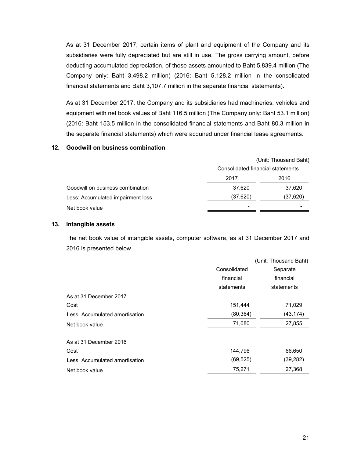As at 31 December 2017, certain items of plant and equipment of the Company and its subsidiaries were fully depreciated but are still in use. The gross carrying amount, before deducting accumulated depreciation, of those assets amounted to Baht 5,839.4 million (The Company only: Baht 3,498.2 million) (2016: Baht 5,128.2 million in the consolidated financial statements and Baht 3,107.7 million in the separate financial statements).

As at 31 December 2017, the Company and its subsidiaries had machineries, vehicles and equipment with net book values of Baht 116.5 million (The Company only: Baht 53.1 million) (2016: Baht 153.5 million in the consolidated financial statements and Baht 80.3 million in the separate financial statements) which were acquired under financial lease agreements.

### **12. Goodwill on business combination**

|                                   | (Unit: Thousand Baht)             |           |  |  |  |
|-----------------------------------|-----------------------------------|-----------|--|--|--|
|                                   | Consolidated financial statements |           |  |  |  |
|                                   | 2017                              | 2016      |  |  |  |
| Goodwill on business combination  | 37,620                            | 37,620    |  |  |  |
| Less: Accumulated impairment loss | (37, 620)                         | (37, 620) |  |  |  |
| Net book value                    |                                   |           |  |  |  |

#### **13. Intangible assets**

 The net book value of intangible assets, computer software, as at 31 December 2017 and 2016 is presented below.

|                                |              | (Unit: Thousand Baht) |
|--------------------------------|--------------|-----------------------|
|                                | Consolidated | Separate              |
|                                | financial    | financial             |
|                                | statements   | statements            |
| As at 31 December 2017         |              |                       |
| Cost                           | 151,444      | 71,029                |
| Less: Accumulated amortisation | (80, 364)    | (43, 174)             |
| Net book value                 | 71,080       | 27,855                |
| As at 31 December 2016         |              |                       |
| Cost                           | 144,796      | 66,650                |
| Less: Accumulated amortisation | (69, 525)    | (39,282)              |
| Net book value                 | 75,271       | 27,368                |
|                                |              |                       |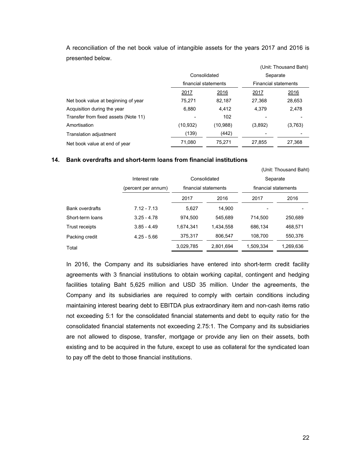|                                      |                      |              |                             | (Unit: Thousand Baht) |
|--------------------------------------|----------------------|--------------|-----------------------------|-----------------------|
|                                      | Consolidated         |              | Separate                    |                       |
|                                      | financial statements |              | <b>Financial statements</b> |                       |
|                                      | 2017                 | <u> 2016</u> | 2017                        | 2016                  |
| Net book value at beginning of year  | 75,271               | 82,187       | 27,368                      | 28,653                |
| Acquisition during the year          | 6,880                | 4,412        | 4,379                       | 2,478                 |
| Transfer from fixed assets (Note 11) |                      | 102          |                             |                       |
| Amortisation                         | (10.932)             | (10, 988)    | (3,892)                     | (3,763)               |
| Translation adjustment               | (139)                | (442)        |                             |                       |
| Net book value at end of year        | 71,080               | 75,271       | 27,855                      | 27,368                |

 A reconciliation of the net book value of intangible assets for the years 2017 and 2016 is presented below.

### **14. Bank overdrafts and short-term loans from financial institutions**

|                        |                     |           |                      |           | (Unit: Thousand Baht) |
|------------------------|---------------------|-----------|----------------------|-----------|-----------------------|
|                        | Interest rate       |           | Consolidated         |           | Separate              |
|                        | (percent per annum) |           | financial statements |           | financial statements  |
|                        |                     | 2017      | 2016                 | 2017      | 2016                  |
| <b>Bank overdrafts</b> | $7.12 - 7.13$       | 5,627     | 14.900               |           |                       |
| Short-term loans       | $3.25 - 4.78$       | 974.500   | 545.689              | 714.500   | 250,689               |
| Trust receipts         | $3.85 - 4.49$       | 1,674,341 | 1.434.558            | 686.134   | 468,571               |
| Packing credit         | $4.25 - 5.66$       | 375,317   | 806,547              | 108,700   | 550,376               |
| Total                  |                     | 3,029,785 | 2,801,694            | 1.509.334 | 1,269,636             |

 In 2016, the Company and its subsidiaries have entered into short-term credit facility agreements with 3 financial institutions to obtain working capital, contingent and hedging facilities totaling Baht 5,625 million and USD 35 million. Under the agreements, the Company and its subsidiaries are required to comply with certain conditions including maintaining interest bearing debt to EBITDA plus extraordinary item and non-cash items ratio not exceeding 5:1 for the consolidated financial statements and debt to equity ratio for the consolidated financial statements not exceeding 2.75:1. The Company and its subsidiaries are not allowed to dispose, transfer, mortgage or provide any lien on their assets, both existing and to be acquired in the future, except to use as collateral for the syndicated loan to pay off the debt to those financial institutions.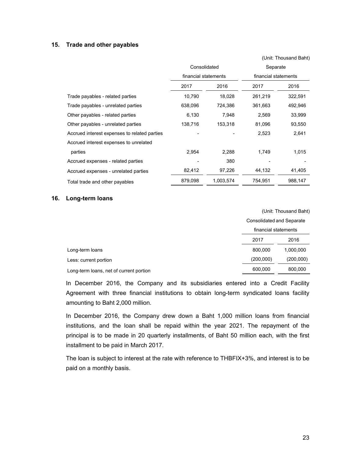### **15. Trade and other payables**

|                                              |                      |           |                      | (Unit: Thousand Baht) |  |
|----------------------------------------------|----------------------|-----------|----------------------|-----------------------|--|
|                                              | Consolidated         |           | Separate             |                       |  |
|                                              | financial statements |           | financial statements |                       |  |
|                                              | 2017                 | 2016      | 2017                 | 2016                  |  |
| Trade payables - related parties             | 10,790               | 18,028    | 261,219              | 322,591               |  |
| Trade payables - unrelated parties           | 638,096              | 724,386   | 361,663              | 492,946               |  |
| Other payables - related parties             | 6,130                | 7,948     | 2,569                | 33,999                |  |
| Other payables - unrelated parties           | 138,716              | 153,318   | 81,096               | 93,550                |  |
| Accrued interest expenses to related parties |                      |           | 2,523                | 2,641                 |  |
| Accrued interest expenses to unrelated       |                      |           |                      |                       |  |
| parties                                      | 2,954                | 2,288     | 1,749                | 1,015                 |  |
| Accrued expenses - related parties           |                      | 380       |                      |                       |  |
| Accrued expenses - unrelated parties         | 82,412               | 97,226    | 44,132               | 41,405                |  |
| Total trade and other payables               | 879,098              | 1,003,574 | 754.951              | 988,147               |  |

#### **16. Long-term loans**

|                                         |           | (Unit: Thousand Baht)<br><b>Consolidated and Separate</b> |  |  |
|-----------------------------------------|-----------|-----------------------------------------------------------|--|--|
|                                         |           |                                                           |  |  |
|                                         |           | financial statements                                      |  |  |
|                                         | 2017      | 2016                                                      |  |  |
| Long-term loans                         | 800.000   | 1,000,000                                                 |  |  |
| Less: current portion                   | (200,000) | (200,000)                                                 |  |  |
| Long-term loans, net of current portion | 600,000   | 800,000                                                   |  |  |

In December 2016, the Company and its subsidiaries entered into a Credit Facility Agreement with three financial institutions to obtain long-term syndicated loans facility amounting to Baht 2,000 million.

In December 2016, the Company drew down a Baht 1,000 million loans from financial institutions, and the loan shall be repaid within the year 2021. The repayment of the principal is to be made in 20 quarterly installments, of Baht 50 million each, with the first installment to be paid in March 2017.

 The loan is subject to interest at the rate with reference to THBFIX+3%, and interest is to be paid on a monthly basis.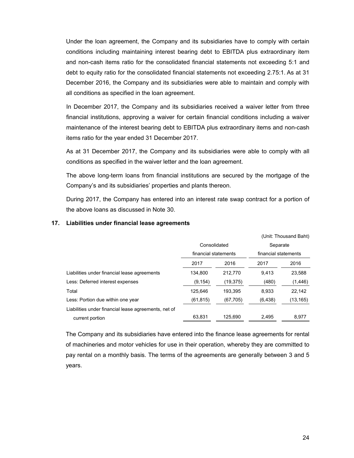Under the loan agreement, the Company and its subsidiaries have to comply with certain conditions including maintaining interest bearing debt to EBITDA plus extraordinary item and non-cash items ratio for the consolidated financial statements not exceeding 5:1 and debt to equity ratio for the consolidated financial statements not exceeding 2.75:1. As at 31 December 2016, the Company and its subsidiaries were able to maintain and comply with all conditions as specified in the loan agreement.

In December 2017, the Company and its subsidiaries received a waiver letter from three financial institutions, approving a waiver for certain financial conditions including a waiver maintenance of the interest bearing debt to EBITDA plus extraordinary items and non-cash items ratio for the year ended 31 December 2017.

 As at 31 December 2017, the Company and its subsidiaries were able to comply with all conditions as specified in the waiver letter and the loan agreement.

 The above long-term loans from financial institutions are secured by the mortgage of the Company's and its subsidiaries' properties and plants thereon.

 During 2017, the Company has entered into an interest rate swap contract for a portion of the above loans as discussed in Note 30.

|                                                      |                      |           | (Unit: Thousand Baht) |          |  |  |
|------------------------------------------------------|----------------------|-----------|-----------------------|----------|--|--|
|                                                      | Consolidated         |           | Separate              |          |  |  |
|                                                      | financial statements |           | financial statements  |          |  |  |
|                                                      | 2017                 | 2016      | 2017                  | 2016     |  |  |
| Liabilities under financial lease agreements         | 134.800              | 212.770   | 9.413                 | 23.588   |  |  |
| Less: Deferred interest expenses                     | (9, 154)             | (19, 375) | (480)                 | (1, 446) |  |  |
| Total                                                | 125,646              | 193,395   | 8,933                 | 22,142   |  |  |
| Less: Portion due within one year                    | (61,815)             | (67, 705) | (6, 438)              | (13,165) |  |  |
| Liabilities under financial lease agreements, net of |                      |           |                       |          |  |  |
| current portion                                      | 63.831               | 125.690   | 2.495                 | 8.977    |  |  |

### **17. Liabilities under financial lease agreements**

The Company and its subsidiaries have entered into the finance lease agreements for rental of machineries and motor vehicles for use in their operation, whereby they are committed to pay rental on a monthly basis. The terms of the agreements are generally between 3 and 5 years.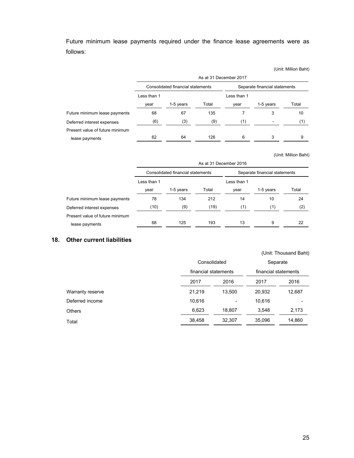Future minimum lease payments required under the finance lease agreements were as follows:

|                                 |                                   | As at 31 December 2017 |       |                               |           |       |  |  |
|---------------------------------|-----------------------------------|------------------------|-------|-------------------------------|-----------|-------|--|--|
|                                 | Consolidated financial statements |                        |       | Separate financial statements |           |       |  |  |
|                                 | Less than 1                       |                        |       | Less than 1                   |           |       |  |  |
|                                 | year                              | 1-5 years              | Total | year                          | 1-5 years | Total |  |  |
| Future minimum lease payments   | 68                                | 67                     | 135   |                               |           | 10    |  |  |
| Deferred interest expenses      | (6)                               | (3)                    | (9)   | (1)                           |           | (1)   |  |  |
| Present value of future minimum |                                   |                        |       |                               |           |       |  |  |
| lease payments                  | 62                                | 64                     | 126   | 6                             | 3         | 9     |  |  |

(Unit: Million Baht)

(Unit: Million Baht)

|                                 | As at 31 December 2016            |           |       |                               |           |       |  |
|---------------------------------|-----------------------------------|-----------|-------|-------------------------------|-----------|-------|--|
|                                 | Consolidated financial statements |           |       | Separate financial statements |           |       |  |
|                                 | Less than 1                       |           |       | Less than 1                   |           |       |  |
|                                 | year                              | 1-5 years | Total | year                          | 1-5 years | Total |  |
| Future minimum lease payments   | 78                                | 134       | 212   | 14                            | 10        | 24    |  |
| Deferred interest expenses      | (10)                              | (9)       | (19)  | (1)                           | (1)       | (2)   |  |
| Present value of future minimum |                                   |           |       |                               |           |       |  |
| lease payments                  | 68                                | 125       | 193   | 13                            | 9         | 22    |  |

### **18. Other current liabilities**

|                  |        | Consolidated         |        | Separate             |  |
|------------------|--------|----------------------|--------|----------------------|--|
|                  |        | financial statements |        | financial statements |  |
|                  | 2017   | 2016                 | 2017   | 2016                 |  |
| Warranty reserve | 21,219 | 13,500               | 20,932 | 12,687               |  |
| Deferred income  | 10,616 |                      | 10,616 |                      |  |
| Others           | 6,623  | 18,807               | 3,548  | 2,173                |  |
| Total            | 38,458 | 32,307               | 35,096 | 14,860               |  |
|                  |        |                      |        |                      |  |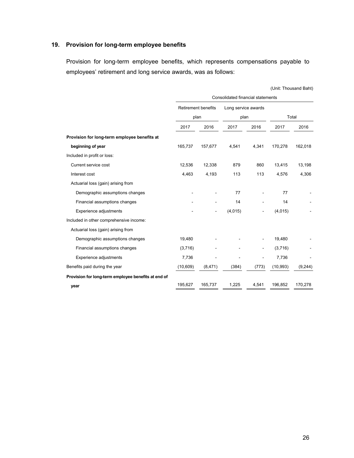# **19. Provision for long-term employee benefits**

Provision for long-term employee benefits, which represents compensations payable to employees' retirement and long service awards, was as follows:

|                                                     | Consolidated financial statements |          |                     |       |           |         |  |  |
|-----------------------------------------------------|-----------------------------------|----------|---------------------|-------|-----------|---------|--|--|
|                                                     | <b>Retirement benefits</b>        |          | Long service awards |       |           |         |  |  |
|                                                     |                                   | plan     | plan                |       | Total     |         |  |  |
|                                                     | 2017                              | 2016     | 2017                | 2016  | 2017      | 2016    |  |  |
| Provision for long-term employee benefits at        |                                   |          |                     |       |           |         |  |  |
| beginning of year                                   | 165,737                           | 157,677  | 4,541               | 4,341 | 170,278   | 162,018 |  |  |
| Included in profit or loss:                         |                                   |          |                     |       |           |         |  |  |
| Current service cost                                | 12,536                            | 12,338   | 879                 | 860   | 13,415    | 13,198  |  |  |
| Interest cost                                       | 4,463                             | 4,193    | 113                 | 113   | 4,576     | 4,306   |  |  |
| Actuarial loss (gain) arising from                  |                                   |          |                     |       |           |         |  |  |
| Demographic assumptions changes                     |                                   |          | 77                  |       | 77        |         |  |  |
| Financial assumptions changes                       |                                   |          | 14                  |       | 14        |         |  |  |
| Experience adjustments                              |                                   |          | (4,015)             |       | (4,015)   |         |  |  |
| Included in other comprehensive income:             |                                   |          |                     |       |           |         |  |  |
| Actuarial loss (gain) arising from                  |                                   |          |                     |       |           |         |  |  |
| Demographic assumptions changes                     | 19,480                            |          |                     |       | 19,480    |         |  |  |
| Financial assumptions changes                       | (3,716)                           |          |                     |       | (3,716)   |         |  |  |
| Experience adjustments                              | 7,736                             |          |                     |       | 7,736     |         |  |  |
| Benefits paid during the year                       | (10, 609)                         | (8, 471) | (384)               | (773) | (10, 993) | (9,244) |  |  |
| Provision for long-term employee benefits at end of |                                   |          |                     |       |           |         |  |  |
| year                                                | 195,627                           | 165,737  | 1,225               | 4,541 | 196,852   | 170,278 |  |  |

(Unit: Thousand Baht)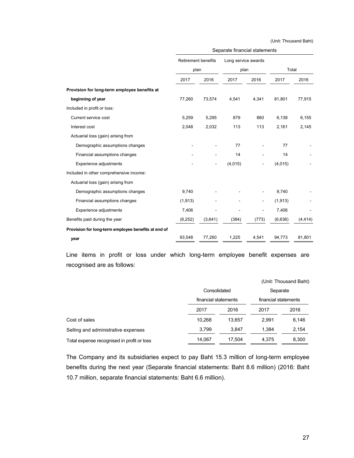(Unit: Thousand Baht)

|                                                     | Separate financial statements |         |                             |                |          |          |  |
|-----------------------------------------------------|-------------------------------|---------|-----------------------------|----------------|----------|----------|--|
|                                                     | <b>Retirement benefits</b>    |         | Long service awards<br>plan |                |          |          |  |
|                                                     | plan                          |         |                             |                | Total    |          |  |
|                                                     | 2017                          | 2016    | 2017                        | 2016           | 2017     | 2016     |  |
| Provision for long-term employee benefits at        |                               |         |                             |                |          |          |  |
| beginning of year                                   | 77,260                        | 73,574  | 4,541                       | 4,341          | 81,801   | 77,915   |  |
| Included in profit or loss:                         |                               |         |                             |                |          |          |  |
| Current service cost                                | 5,259                         | 5,295   | 879                         | 860            | 6,138    | 6,155    |  |
| Interest cost                                       | 2,048                         | 2,032   | 113                         | 113            | 2,161    | 2,145    |  |
| Actuarial loss (gain) arising from                  |                               |         |                             |                |          |          |  |
| Demographic assumptions changes                     |                               |         | 77                          |                | 77       |          |  |
| Financial assumptions changes                       |                               |         | 14                          |                | 14       |          |  |
| Experience adjustments                              |                               |         | (4,015)                     |                | (4,015)  |          |  |
| Included in other comprehensive income:             |                               |         |                             |                |          |          |  |
| Actuarial loss (gain) arising from                  |                               |         |                             |                |          |          |  |
| Demographic assumptions changes                     | 9,740                         |         |                             |                | 9,740    |          |  |
| Financial assumptions changes                       | (1, 913)                      |         |                             | $\blacksquare$ | (1, 913) |          |  |
| Experience adjustments                              | 7,406                         |         |                             |                | 7,406    |          |  |
| Benefits paid during the year                       | (6, 252)                      | (3,641) | (384)                       | (773)          | (6,636)  | (4, 414) |  |
| Provision for long-term employee benefits at end of |                               |         |                             |                |          |          |  |
| year                                                | 93,548                        | 77,260  | 1,225                       | 4,541          | 94,773   | 81,801   |  |

 Line items in profit or loss under which long-term employee benefit expenses are recognised are as follows:

|                                            |                      |        |                      | (Unit: Thousand Baht) |
|--------------------------------------------|----------------------|--------|----------------------|-----------------------|
|                                            | Consolidated         |        | Separate             |                       |
|                                            | financial statements |        | financial statements |                       |
|                                            | 2017                 | 2016   | 2017                 | 2016                  |
| Cost of sales                              | 10.268               | 13.657 | 2.991                | 6,146                 |
| Selling and administrative expenses        | 3.799                | 3.847  | 1.384                | 2,154                 |
| Total expense recognised in profit or loss | 14.067               | 17.504 | 4.375                | 8,300                 |

 The Company and its subsidiaries expect to pay Baht 15.3 million of long-term employee benefits during the next year (Separate financial statements: Baht 8.6 million) (2016: Baht 10.7 million, separate financial statements: Baht 6.6 million).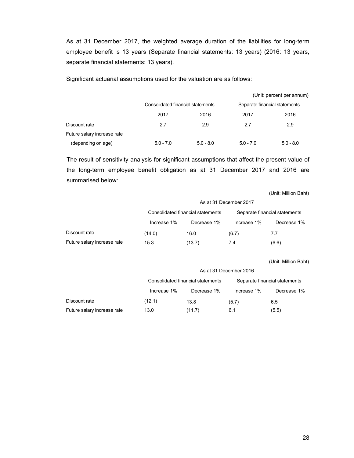As at 31 December 2017, the weighted average duration of the liabilities for long-term employee benefit is 13 years (Separate financial statements: 13 years) (2016: 13 years, separate financial statements: 13 years).

Significant actuarial assumptions used for the valuation are as follows:

|                             |                                   |             |             | (Unit: percent per annum)     |
|-----------------------------|-----------------------------------|-------------|-------------|-------------------------------|
|                             | Consolidated financial statements |             |             | Separate financial statements |
|                             | 2017                              | 2016        | 2017        | 2016                          |
| Discount rate               | 2.7                               | 2.9         | 2.7         | 2.9                           |
| Future salary increase rate |                                   |             |             |                               |
| (depending on age)          | $5.0 - 7.0$                       | $5.0 - 8.0$ | $5.0 - 7.0$ | $5.0 - 8.0$                   |

The result of sensitivity analysis for significant assumptions that affect the present value of the long-term employee benefit obligation as at 31 December 2017 and 2016 are summarised below:

(Unit: Million Baht)

|                             |             | As at 31 December 2017            |             |                               |  |  |  |
|-----------------------------|-------------|-----------------------------------|-------------|-------------------------------|--|--|--|
|                             |             | Consolidated financial statements |             | Separate financial statements |  |  |  |
|                             | Increase 1% | Decrease 1%                       | Increase 1% | Decrease 1%                   |  |  |  |
| Discount rate               | (14.0)      | 16.0                              | (6.7)       | 7.7                           |  |  |  |
| Future salary increase rate | 15.3        | (13.7)                            | 7.4         | (6.6)                         |  |  |  |

(Unit: Million Baht)

|                             |             | As at 31 December 2016                                             |             |             |  |  |
|-----------------------------|-------------|--------------------------------------------------------------------|-------------|-------------|--|--|
|                             |             | Consolidated financial statements<br>Separate financial statements |             |             |  |  |
|                             | Increase 1% | Decrease 1%                                                        | Increase 1% | Decrease 1% |  |  |
| Discount rate               | (12.1)      | 13.8                                                               | (5.7)       | 6.5         |  |  |
| Future salary increase rate | 13.0        | (11.7)                                                             | 6.1         | (5.5)       |  |  |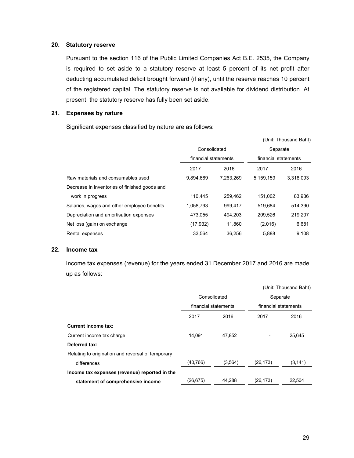#### **20. Statutory reserve**

Pursuant to the section 116 of the Public Limited Companies Act B.E. 2535, the Company is required to set aside to a statutory reserve at least 5 percent of its net profit after deducting accumulated deficit brought forward (if any), until the reserve reaches 10 percent of the registered capital. The statutory reserve is not available for dividend distribution. At present, the statutory reserve has fully been set aside.

### **21. Expenses by nature**

Significant expenses classified by nature are as follows:

|                                               |                      |           |                      | (Unit: Thousand Baht) |
|-----------------------------------------------|----------------------|-----------|----------------------|-----------------------|
|                                               | Consolidated         |           | Separate             |                       |
|                                               | financial statements |           | financial statements |                       |
|                                               | 2017                 | 2016      | 2017                 | 2016                  |
| Raw materials and consumables used            | 9,894,669            | 7,263,269 | 5,159,159            | 3,318,093             |
| Decrease in inventories of finished goods and |                      |           |                      |                       |
| work in progress                              | 110,445              | 259,462   | 151,002              | 83,936                |
| Salaries, wages and other employee benefits   | 1,058,793            | 999.417   | 519.684              | 514,390               |
| Depreciation and amortisation expenses        | 473,055              | 494.203   | 209,526              | 219,207               |
| Net loss (gain) on exchange                   | (17, 932)            | 11,860    | (2,016)              | 6,681                 |
| Rental expenses                               | 33,564               | 36.256    | 5,888                | 9.108                 |

#### **22. Income tax**

 Income tax expenses (revenue) for the years ended 31 December 2017 and 2016 are made up as follows:

|                                                   |                      |         |           | (Unit: Thousand Baht) |
|---------------------------------------------------|----------------------|---------|-----------|-----------------------|
|                                                   | Consolidated         |         | Separate  |                       |
|                                                   | financial statements |         |           | financial statements  |
|                                                   | 2017                 | 2016    | 2017      | 2016                  |
| Current income tax:                               |                      |         |           |                       |
| Current income tax charge                         | 14.091               | 47,852  |           | 25,645                |
| Deferred tax:                                     |                      |         |           |                       |
| Relating to origination and reversal of temporary |                      |         |           |                       |
| differences                                       | (40, 766)            | (3,564) | (26, 173) | (3, 141)              |
| Income tax expenses (revenue) reported in the     |                      |         |           |                       |
| statement of comprehensive income                 | (26,675)             | 44.288  | (26, 173) | 22.504                |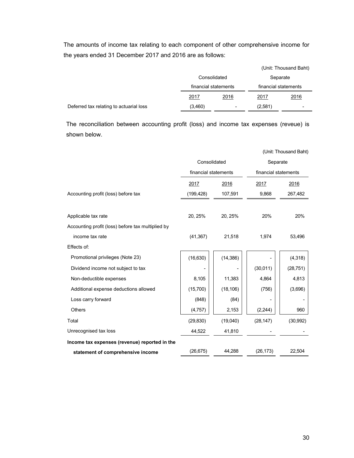The amounts of income tax relating to each component of other comprehensive income for the years ended 31 December 2017 and 2016 are as follows:

|                                         |         |                                      |         | (Unit: Thousand Baht) |
|-----------------------------------------|---------|--------------------------------------|---------|-----------------------|
|                                         |         | Consolidated<br>financial statements |         | Separate              |
|                                         |         |                                      |         | financial statements  |
|                                         | 2017    | 2016                                 | 2017    | 2016                  |
| Deferred tax relating to actuarial loss | (3,460) | $\overline{\phantom{0}}$             | (2,581) | -                     |

The reconciliation between accounting profit (loss) and income tax expenses (reveue) is shown below.

|                                                   |                      |           |                      | (Unit: Thousand Baht) |
|---------------------------------------------------|----------------------|-----------|----------------------|-----------------------|
|                                                   | Consolidated         |           | Separate             |                       |
|                                                   | financial statements |           | financial statements |                       |
|                                                   | 2017                 | 2016      | 2017                 | 2016                  |
| Accounting profit (loss) before tax               | (199, 428)           | 107,591   | 9,868                | 267,482               |
|                                                   |                      |           |                      |                       |
| Applicable tax rate                               | 20, 25%              | 20, 25%   | 20%                  | 20%                   |
| Accounting profit (loss) before tax multiplied by |                      |           |                      |                       |
| income tax rate                                   | (41, 367)            | 21,518    | 1,974                | 53,496                |
| Effects of:                                       |                      |           |                      |                       |
| Promotional privileges (Note 23)                  | (16, 630)            | (14, 386) |                      | (4,318)               |
| Dividend income not subject to tax                |                      |           | (30, 011)            | (28, 751)             |
| Non-deductible expenses                           | 8,105                | 11,383    | 4,864                | 4,813                 |
| Additional expense deductions allowed             | (15,700)             | (18, 106) | (756)                | (3,696)               |
| Loss carry forward                                | (848)                | (84)      |                      |                       |
| <b>Others</b>                                     | (4,757)              | 2,153     | (2, 244)             | 960                   |
| Total                                             | (29, 830)            | (19,040)  | (28, 147)            | (30, 992)             |
| Unrecognised tax loss                             | 44,522               | 41,810    |                      |                       |
| Income tax expenses (revenue) reported in the     |                      |           |                      |                       |
| statement of comprehensive income                 | (26, 675)            | 44,288    | (26, 173)            | 22,504                |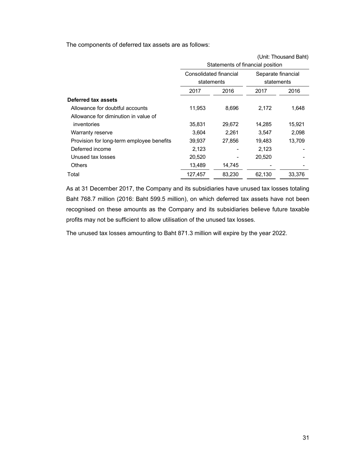The components of deferred tax assets are as follows:

|                                           |                        |                                  |                    | UTIIL THUUJAHU DAHIT |
|-------------------------------------------|------------------------|----------------------------------|--------------------|----------------------|
|                                           |                        | Statements of financial position |                    |                      |
|                                           | Consolidated financial |                                  | Separate financial |                      |
|                                           | statements             |                                  | statements         |                      |
|                                           | 2017                   | 2016                             | 2017               | 2016                 |
| Deferred tax assets                       |                        |                                  |                    |                      |
| Allowance for doubtful accounts           | 11,953                 | 8,696                            | 2,172              | 1,648                |
| Allowance for diminution in value of      |                        |                                  |                    |                      |
| inventories                               | 35,831                 | 29,672                           | 14,285             | 15,921               |
| Warranty reserve                          | 3,604                  | 2,261                            | 3,547              | 2,098                |
| Provision for long-term employee benefits | 39,937                 | 27,856                           | 19,483             | 13,709               |
| Deferred income                           | 2,123                  |                                  | 2,123              |                      |
| Unused tax losses                         | 20,520                 |                                  | 20,520             |                      |
| <b>Others</b>                             | 13,489                 | 14,745                           |                    |                      |
| Total                                     | 127,457                | 83,230                           | 62,130             | 33.376               |

As at 31 December 2017, the Company and its subsidiaries have unused tax losses totaling Baht 768.7 million (2016: Baht 599.5 million), on which deferred tax assets have not been recognised on these amounts as the Company and its subsidiaries believe future taxable profits may not be sufficient to allow utilisation of the unused tax losses.

The unused tax losses amounting to Baht 871.3 million will expire by the year 2022.

(Unit: Thousand Baht)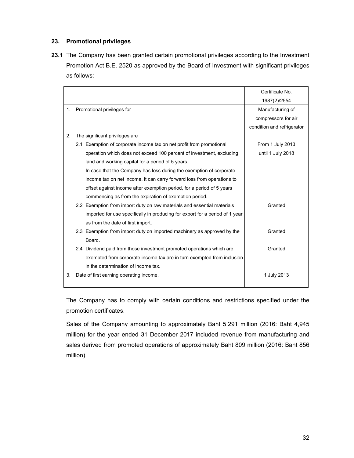### **23. Promotional privileges**

**23.1** The Company has been granted certain promotional privileges according to the Investment Promotion Act B.E. 2520 as approved by the Board of Investment with significant privileges as follows:

|    |                                                                              | Certificate No.            |
|----|------------------------------------------------------------------------------|----------------------------|
|    |                                                                              | 1987(2)/2554               |
| 1. | Promotional privileges for                                                   | Manufacturing of           |
|    |                                                                              | compressors for air        |
|    |                                                                              | condition and refrigerator |
| 2. | The significant privileges are                                               |                            |
|    | 2.1 Exemption of corporate income tax on net profit from promotional         | From 1 July 2013           |
|    | operation which does not exceed 100 percent of investment, excluding         | until 1 July 2018          |
|    | land and working capital for a period of 5 years.                            |                            |
|    | In case that the Company has loss during the exemption of corporate          |                            |
|    | income tax on net income, it can carry forward loss from operations to       |                            |
|    | offset against income after exemption period, for a period of 5 years        |                            |
|    | commencing as from the expiration of exemption period.                       |                            |
|    | 2.2 Exemption from import duty on raw materials and essential materials      | Granted                    |
|    | imported for use specifically in producing for export for a period of 1 year |                            |
|    | as from the date of first import.                                            |                            |
|    | 2.3 Exemption from import duty on imported machinery as approved by the      | Granted                    |
|    | Board.                                                                       |                            |
|    | 2.4 Dividend paid from those investment promoted operations which are        | Granted                    |
|    | exempted from corporate income tax are in turn exempted from inclusion       |                            |
|    | in the determination of income tax.                                          |                            |
| 3. | Date of first earning operating income.                                      | 1 July 2013                |
|    |                                                                              |                            |

The Company has to comply with certain conditions and restrictions specified under the promotion certificates.

Sales of the Company amounting to approximately Baht 5,291 million (2016: Baht 4,945 million) for the year ended 31 December 2017 included revenue from manufacturing and sales derived from promoted operations of approximately Baht 809 million (2016: Baht 856 million).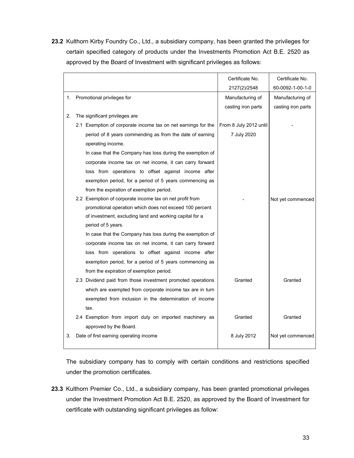**23.2** Kulthorn Kirby Foundry Co., Ltd., a subsidiary company, has been granted the privileges for certain specified category of products under the Investments Promotion Act B.E. 2520 as approved by the Board of Investment with significant privileges as follows:

|    |                                                               | Certificate No.        | Certificate No.    |
|----|---------------------------------------------------------------|------------------------|--------------------|
|    |                                                               | 2127(2)/2548           | 60-0092-1-00-1-0   |
| 1. | Promotional privileges for                                    | Manufacturing of       | Manufacturing of   |
|    |                                                               | casting iron parts     | casting iron parts |
| 2. | The significant privileges are                                |                        |                    |
|    | 2.1 Exemption of corporate income tax on net earnings for the | From 8 July 2012 until |                    |
|    | period of 8 years commending as from the date of earning      | 7 July 2020            |                    |
|    | operating income.                                             |                        |                    |
|    | In case that the Company has loss during the exemption of     |                        |                    |
|    | corporate income tax on net income, it can carry forward      |                        |                    |
|    | loss from operations to offset against income after           |                        |                    |
|    | exemption period, for a period of 5 years commencing as       |                        |                    |
|    | from the expiration of exemption period.                      |                        |                    |
|    | 2.2 Exemption of corporate income tax on net profit from      |                        | Not yet commenced  |
|    | promotional operation which does not exceed 100 percent       |                        |                    |
|    | of investment, excluding land and working capital for a       |                        |                    |
|    | period of 5 years.                                            |                        |                    |
|    | In case that the Company has loss during the exemption of     |                        |                    |
|    | corporate income tax on net income, it can carry forward      |                        |                    |
|    | loss from operations to offset against income after           |                        |                    |
|    | exemption period, for a period of 5 years commencing as       |                        |                    |
|    | from the expiration of exemption period.                      |                        |                    |
|    | 2.3 Dividend paid from those investment promoted operations   | Granted                | Granted            |
|    | which are exempted from corporate income tax are in turn      |                        |                    |
|    | exempted from inclusion in the determination of income        |                        |                    |
|    | tax.                                                          |                        |                    |
|    | 2.4 Exemption from import duty on imported machinery as       | Granted                | Granted            |
|    | approved by the Board.                                        |                        |                    |
| 3. | Date of first earning operating income                        | 8 July 2012            | Not yet commenced  |
|    |                                                               |                        |                    |

The subsidiary company has to comply with certain conditions and restrictions specified under the promotion certificates.

**23.3** Kulthorn Premier Co., Ltd., a subsidiary company, has been granted promotional privileges under the Investment Promotion Act B.E. 2520, as approved by the Board of Investment for certificate with outstanding significant privileges as follow: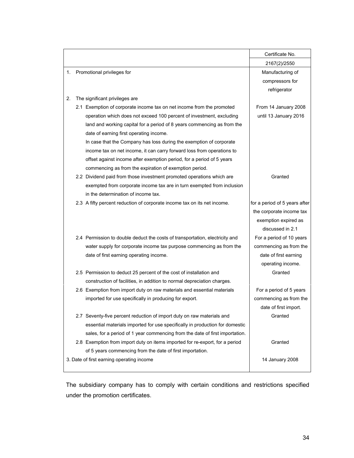|    |                                                                              | Certificate No.               |
|----|------------------------------------------------------------------------------|-------------------------------|
|    |                                                                              | 2167(2)/2550                  |
|    | 1. Promotional privileges for                                                | Manufacturing of              |
|    |                                                                              | compressors for               |
|    |                                                                              | refrigerator                  |
| 2. | The significant privileges are                                               |                               |
|    | 2.1 Exemption of corporate income tax on net income from the promoted        | From 14 January 2008          |
|    | operation which does not exceed 100 percent of investment, excluding         | until 13 January 2016         |
|    | land and working capital for a period of 8 years commencing as from the      |                               |
|    | date of earning first operating income.                                      |                               |
|    | In case that the Company has loss during the exemption of corporate          |                               |
|    | income tax on net income, it can carry forward loss from operations to       |                               |
|    | offset against income after exemption period, for a period of 5 years        |                               |
|    | commencing as from the expiration of exemption period.                       |                               |
|    | 2.2 Dividend paid from those investment promoted operations which are        | Granted                       |
|    | exempted from corporate income tax are in turn exempted from inclusion       |                               |
|    | in the determination of income tax.                                          |                               |
|    | 2.3 A fifty percent reduction of corporate income tax on its net income.     | for a period of 5 years after |
|    |                                                                              | the corporate income tax      |
|    |                                                                              | exemption expired as          |
|    |                                                                              | discussed in 2.1              |
|    | 2.4 Permission to double deduct the costs of transportation, electricity and | For a period of 10 years      |
|    | water supply for corporate income tax purpose commencing as from the         | commencing as from the        |
|    | date of first earning operating income.                                      | date of first earning         |
|    |                                                                              | operating income.             |
|    | 2.5 Permission to deduct 25 percent of the cost of installation and          | Granted                       |
|    | construction of facilities, in addition to normal depreciation charges.      |                               |
|    | 2.6 Exemption from import duty on raw materials and essential materials      | For a period of 5 years       |
|    | imported for use specifically in producing for export.                       | commencing as from the        |
|    |                                                                              | date of first import.         |
|    | 2.7 Seventy-five percent reduction of import duty on raw materials and       | Granted                       |
|    | essential materials imported for use specifically in production for domestic |                               |
|    | sales, for a period of 1 year commencing from the date of first importation. |                               |
|    | 2.8 Exemption from import duty on items imported for re-export, for a period | Granted                       |
|    | of 5 years commencing from the date of first importation.                    |                               |
|    | 3. Date of first earning operating income                                    | 14 January 2008               |
|    |                                                                              |                               |

The subsidiary company has to comply with certain conditions and restrictions specified under the promotion certificates.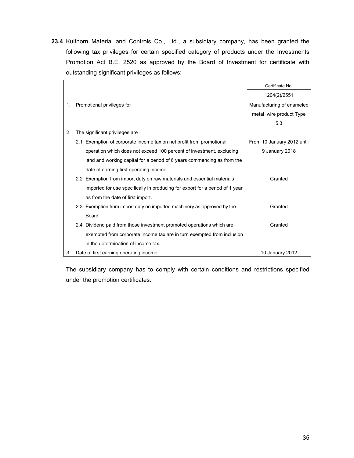**23.4** Kulthorn Material and Controls Co., Ltd., a subsidiary company, has been granted the following tax privileges for certain specified category of products under the Investments Promotion Act B.E. 2520 as approved by the Board of Investment for certificate with outstanding significant privileges as follows:

|    |                                                                              | Certificate No.            |
|----|------------------------------------------------------------------------------|----------------------------|
|    |                                                                              | 1204(2)/2551               |
| 1. | Promotional privileges for                                                   | Manufacturing of enameled  |
|    |                                                                              | metal wire product Type    |
|    |                                                                              | 5.3                        |
| 2. | The significant privileges are                                               |                            |
|    | 2.1 Exemption of corporate income tax on net profit from promotional         | From 10 January 2012 until |
|    | operation which does not exceed 100 percent of investment, excluding         | 9 January 2018             |
|    | land and working capital for a period of 6 years commencing as from the      |                            |
|    | date of earning first operating income.                                      |                            |
|    | 2.2 Exemption from import duty on raw materials and essential materials      | Granted                    |
|    | imported for use specifically in producing for export for a period of 1 year |                            |
|    | as from the date of first import.                                            |                            |
|    | 2.3 Exemption from import duty on imported machinery as approved by the      | Granted                    |
|    | Board.                                                                       |                            |
|    | 2.4 Dividend paid from those investment promoted operations which are        | Granted                    |
|    | exempted from corporate income tax are in turn exempted from inclusion       |                            |
|    | in the determination of income tax.                                          |                            |
| 3. | Date of first earning operating income.                                      | 10 January 2012            |

 The subsidiary company has to comply with certain conditions and restrictions specified under the promotion certificates.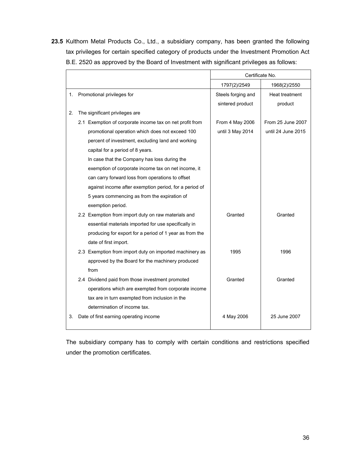**23.5** Kulthorn Metal Products Co., Ltd., a subsidiary company, has been granted the following tax privileges for certain specified category of products under the Investment Promotion Act B.E. 2520 as approved by the Board of Investment with significant privileges as follows:

|    |                                                          | Certificate No.    |                    |  |
|----|----------------------------------------------------------|--------------------|--------------------|--|
|    |                                                          | 1797(2)/2549       | 1968(2)/2550       |  |
| 1. | Promotional privileges for                               | Steels forging and | Heat treatment     |  |
|    |                                                          | sintered product   | product            |  |
| 2. | The significant privileges are                           |                    |                    |  |
|    | 2.1 Exemption of corporate income tax on net profit from | From 4 May 2006    | From 25 June 2007  |  |
|    | promotional operation which does not exceed 100          | until 3 May 2014   | until 24 June 2015 |  |
|    | percent of investment, excluding land and working        |                    |                    |  |
|    | capital for a period of 8 years.                         |                    |                    |  |
|    | In case that the Company has loss during the             |                    |                    |  |
|    | exemption of corporate income tax on net income, it      |                    |                    |  |
|    | can carry forward loss from operations to offset         |                    |                    |  |
|    | against income after exemption period, for a period of   |                    |                    |  |
|    | 5 years commencing as from the expiration of             |                    |                    |  |
|    | exemption period.                                        |                    |                    |  |
|    | 2.2 Exemption from import duty on raw materials and      | Granted            | Granted            |  |
|    | essential materials imported for use specifically in     |                    |                    |  |
|    | producing for export for a period of 1 year as from the  |                    |                    |  |
|    | date of first import.                                    |                    |                    |  |
|    | 2.3 Exemption from import duty on imported machinery as  | 1995               | 1996               |  |
|    | approved by the Board for the machinery produced         |                    |                    |  |
|    | from                                                     |                    |                    |  |
|    | 2.4 Dividend paid from those investment promoted         | Granted            | Granted            |  |
|    | operations which are exempted from corporate income      |                    |                    |  |
|    | tax are in turn exempted from inclusion in the           |                    |                    |  |
|    | determination of income tax.                             |                    |                    |  |
| 3. | Date of first earning operating income                   | 4 May 2006         | 25 June 2007       |  |
|    |                                                          |                    |                    |  |

The subsidiary company has to comply with certain conditions and restrictions specified under the promotion certificates.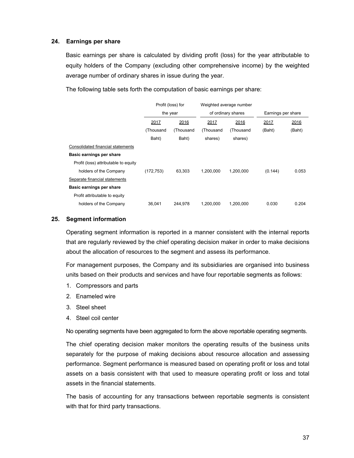### **24. Earnings per share**

 Basic earnings per share is calculated by dividing profit (loss) for the year attributable to equity holders of the Company (excluding other comprehensive income) by the weighted average number of ordinary shares in issue during the year.

|                                      | Profit (loss) for |           | Weighted average number<br>of ordinary shares |           |                    |        |
|--------------------------------------|-------------------|-----------|-----------------------------------------------|-----------|--------------------|--------|
|                                      | the year          |           |                                               |           | Earnings per share |        |
|                                      | 2017              | 2016      | 2017                                          | 2016      | 2017               | 2016   |
|                                      | (Thousand         | (Thousand | (Thousand                                     | (Thousand | (Baht)             | (Baht) |
|                                      | Baht)             | Baht)     | shares)                                       | shares)   |                    |        |
| Consolidated financial statements    |                   |           |                                               |           |                    |        |
| Basic earnings per share             |                   |           |                                               |           |                    |        |
| Profit (loss) attributable to equity |                   |           |                                               |           |                    |        |
| holders of the Company               | (172, 753)        | 63.303    | 1,200,000                                     | 1,200,000 | (0.144)            | 0.053  |
| Separate financial statements        |                   |           |                                               |           |                    |        |
| Basic earnings per share             |                   |           |                                               |           |                    |        |
| Profit attributable to equity        |                   |           |                                               |           |                    |        |
| holders of the Company               | 36.041            | 244.978   | 1.200.000                                     | 1.200.000 | 0.030              | 0.204  |

The following table sets forth the computation of basic earnings per share:

#### **25. Segment information**

Operating segment information is reported in a manner consistent with the internal reports that are regularly reviewed by the chief operating decision maker in order to make decisions about the allocation of resources to the segment and assess its performance.

For management purposes, the Company and its subsidiaries are organised into business units based on their products and services and have four reportable segments as follows:

- 1. Compressors and parts
- 2. Enameled wire
- 3. Steel sheet
- 4. Steel coil center

No operating segments have been aggregated to form the above reportable operating segments.

The chief operating decision maker monitors the operating results of the business units separately for the purpose of making decisions about resource allocation and assessing performance. Segment performance is measured based on operating profit or loss and total assets on a basis consistent with that used to measure operating profit or loss and total assets in the financial statements.

The basis of accounting for any transactions between reportable segments is consistent with that for third party transactions.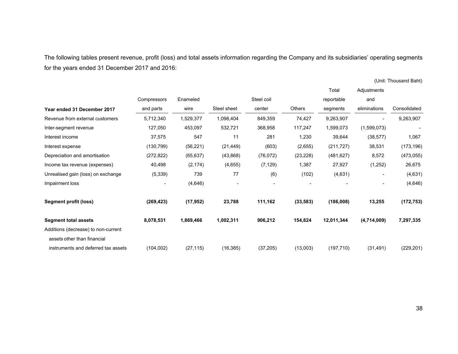The following tables present revenue, profit (loss) and total assets information regarding the Company and its subsidiaries' operating segments for the years ended 31 December 2017 and 2016:

(Unit: Thousand Baht)

|                                                                    |             |           |             |            |               | Total      | Adjustments  |              |
|--------------------------------------------------------------------|-------------|-----------|-------------|------------|---------------|------------|--------------|--------------|
|                                                                    | Compressors | Enameled  |             | Steel coil |               | reportable | and          |              |
| Year ended 31 December 2017                                        | and parts   | wire      | Steel sheet | center     | <b>Others</b> | segments   | eliminations | Consolidated |
| Revenue from external customers                                    | 5,712,340   | 1,529,377 | 1,098,404   | 849,359    | 74,427        | 9,263,907  |              | 9,263,907    |
| Inter-segment revenue                                              | 127,050     | 453,097   | 532,721     | 368,958    | 117,247       | 1,599,073  | (1,599,073)  |              |
| Interest income                                                    | 37,575      | 547       | 11          | 281        | 1,230         | 39,644     | (38, 577)    | 1,067        |
| Interest expense                                                   | (130,799)   | (56, 221) | (21, 449)   | (603)      | (2,655)       | (211, 727) | 38,531       | (173, 196)   |
| Depreciation and amortisation                                      | (272, 822)  | (65, 637) | (43,868)    | (76, 072)  | (23, 228)     | (481, 627) | 8,572        | (473, 055)   |
| Income tax revenue (expenses)                                      | 40,498      | (2, 174)  | (4,655)     | (7, 129)   | 1,387         | 27,927     | (1,252)      | 26,675       |
| Unrealised gain (loss) on exchange                                 | (5, 339)    | 739       | 77          | (6)        | (102)         | (4,631)    | ۰            | (4,631)      |
| Impairment loss                                                    | ۰           | (4,646)   |             |            |               |            |              | (4,646)      |
| <b>Segment profit (loss)</b>                                       | (269, 423)  | (17, 952) | 23,788      | 111,162    | (33, 583)     | (186,008)  | 13,255       | (172, 753)   |
| <b>Segment total assets</b>                                        | 8,078,531   | 1,869,466 | 1,002,311   | 906,212    | 154,824       | 12,011,344 | (4,714,009)  | 7,297,335    |
| Additions (decrease) to non-current<br>assets other than financial |             |           |             |            |               |            |              |              |
| instruments and deferred tax assets                                | (104,002)   | (27, 115) | (16, 385)   | (37, 205)  | (13,003)      | (197, 710) | (31, 491)    | (229, 201)   |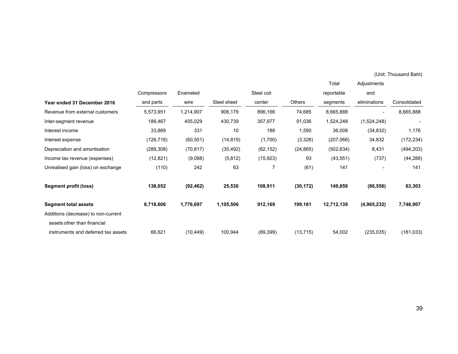(Unit: Thousand Baht)

|                                     |             |           |             |            |               | Total      | Adjustments  |              |
|-------------------------------------|-------------|-----------|-------------|------------|---------------|------------|--------------|--------------|
|                                     | Compressors | Enameled  |             | Steel coil |               | reportable | and          |              |
| Year ended 31 December 2016         | and parts   | wire      | Steel sheet | center     | <b>Others</b> | segments   | eliminations | Consolidated |
| Revenue from external customers     | 5,573,951   | 1,214,907 | 906,179     | 896,166    | 74,685        | 8,665,888  |              | 8,665,888    |
| Inter-segment revenue               | 189,467     | 455,029   | 430,739     | 357,977    | 91,036        | 1,524,248  | (1,524,248)  |              |
| Interest income                     | 33,889      | 331       | 10          | 188        | 1,590         | 36,008     | (34, 832)    | 1,176        |
| Interest expense                    | (126,718)   | (60, 501) | (14, 819)   | (1,700)    | (3,328)       | (207,066)  | 34,832       | (172, 234)   |
| Depreciation and amortisation       | (289, 308)  | (70, 817) | (35, 492)   | (82, 152)  | (24, 865)     | (502, 634) | 8,431        | (494, 203)   |
| Income tax revenue (expenses)       | (12, 821)   | (9,088)   | (5, 812)    | (15, 923)  | 93            | (43, 551)  | (737)        | (44, 288)    |
| Unrealised gain (loss) on exchange  | (110)       | 242       | 63          | 7          | (61)          | 141        |              | 141          |
| Segment profit (loss)               | 138,052     | (92, 462) | 25,530      | 108,911    | (30, 172)     | 149,859    | (86, 556)    | 63,303       |
| <b>Segment total assets</b>         | 8,718,606   | 1,776,697 | 1,105,506   | 912,169    | 199,161       | 12,712,139 | (4,965,232)  | 7,746,907    |
| Additions (decrease) to non-current |             |           |             |            |               |            |              |              |
| assets other than financial         |             |           |             |            |               |            |              |              |
| instruments and deferred tax assets | 66,621      | (10, 449) | 100,944     | (89, 399)  | (13, 715)     | 54,002     | (235, 035)   | (181, 033)   |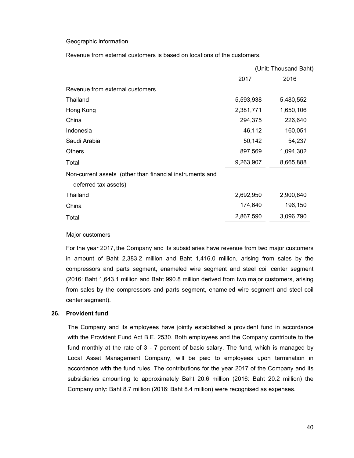#### Geographic information

Revenue from external customers is based on locations of the customers.

|                                                          |           | (Unit: Thousand Baht) |
|----------------------------------------------------------|-----------|-----------------------|
|                                                          | 2017      | 2016                  |
| Revenue from external customers                          |           |                       |
| Thailand                                                 | 5,593,938 | 5,480,552             |
| Hong Kong                                                | 2,381,771 | 1,650,106             |
| China                                                    | 294,375   | 226,640               |
| Indonesia                                                | 46,112    | 160,051               |
| Saudi Arabia                                             | 50,142    | 54,237                |
| <b>Others</b>                                            | 897,569   | 1,094,302             |
| Total                                                    | 9,263,907 | 8,665,888             |
| Non-current assets (other than financial instruments and |           |                       |
| deferred tax assets)                                     |           |                       |
| Thailand                                                 | 2,692,950 | 2,900,640             |
| China                                                    | 174,640   | 196,150               |
| Total                                                    | 2,867,590 | 3,096,790             |
|                                                          |           |                       |

#### Major customers

For the year 2017, the Company and its subsidiaries have revenue from two major customers in amount of Baht 2,383.2 million and Baht 1,416.0 million, arising from sales by the compressors and parts segment, enameled wire segment and steel coil center segment (2016: Baht 1,643.1 million and Baht 990.8 million derived from two major customers, arising from sales by the compressors and parts segment, enameled wire segment and steel coil center segment).

#### **26. Provident fund**

The Company and its employees have jointly established a provident fund in accordance with the Provident Fund Act B.E. 2530. Both employees and the Company contribute to the fund monthly at the rate of 3 - 7 percent of basic salary. The fund, which is managed by Local Asset Management Company, will be paid to employees upon termination in accordance with the fund rules. The contributions for the year 2017 of the Company and its subsidiaries amounting to approximately Baht 20.6 million (2016: Baht 20.2 million) the Company only: Baht 8.7 million (2016: Baht 8.4 million) were recognised as expenses.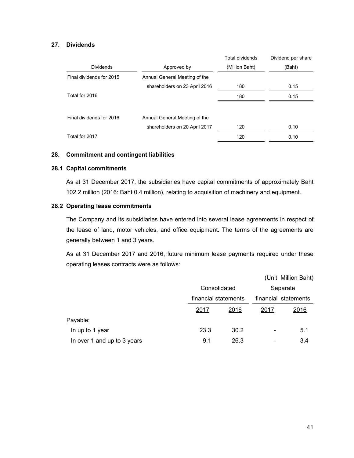### **27. Dividends**

|                          |                               | <b>Total dividends</b> | Dividend per share |
|--------------------------|-------------------------------|------------------------|--------------------|
| <b>Dividends</b>         | Approved by                   | (Million Baht)         | (Baht)             |
| Final dividends for 2015 | Annual General Meeting of the |                        |                    |
|                          | shareholders on 23 April 2016 | 180                    | 0.15               |
| Total for 2016           |                               | 180                    | 0.15               |
|                          |                               |                        |                    |
| Final dividends for 2016 | Annual General Meeting of the |                        |                    |
|                          | shareholders on 20 April 2017 | 120                    | 0.10               |
| Total for 2017           |                               | 120                    | 0.10               |

### **28. Commitment and contingent liabilities**

### **28.1 Capital commitments**

 As at 31 December 2017, the subsidiaries have capital commitments of approximately Baht 102.2 million (2016: Baht 0.4 million), relating to acquisition of machinery and equipment.

### **28.2 Operating lease commitments**

 The Company and its subsidiaries have entered into several lease agreements in respect of the lease of land, motor vehicles, and office equipment. The terms of the agreements are generally between 1 and 3 years.

 As at 31 December 2017 and 2016, future minimum lease payments required under these operating leases contracts were as follows:

|                             |      |                                      |                | (Unit: Million Baht) |  |
|-----------------------------|------|--------------------------------------|----------------|----------------------|--|
|                             |      | Consolidated<br>financial statements |                | Separate             |  |
|                             |      |                                      |                | financial statements |  |
|                             | 2017 | 2016                                 | 2017           | 2016                 |  |
| Payable:                    |      |                                      |                |                      |  |
| In up to 1 year             | 23.3 | 30.2                                 | $\blacksquare$ | 5.1                  |  |
| In over 1 and up to 3 years | 9.1  | 26.3                                 |                | 3.4                  |  |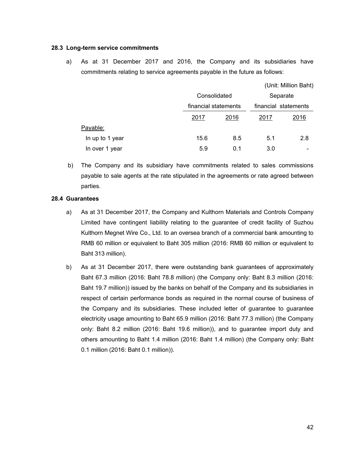#### **28.3 Long-term service commitments**

a) As at 31 December 2017 and 2016, the Company and its subsidiaries have commitments relating to service agreements payable in the future as follows:

|                 |      |                                      |      | (Unit: Million Baht) |
|-----------------|------|--------------------------------------|------|----------------------|
|                 |      | Consolidated<br>financial statements |      | Separate             |
|                 |      |                                      |      | financial statements |
|                 | 2017 | 2016                                 | 2017 | 2016                 |
| Payable:        |      |                                      |      |                      |
| In up to 1 year | 15.6 | 8.5                                  | 5.1  | 2.8                  |
| In over 1 year  | 5.9  | 0.1                                  | 3.0  | $\blacksquare$       |

 b) The Company and its subsidiary have commitments related to sales commissions payable to sale agents at the rate stipulated in the agreements or rate agreed between parties.

#### **28.4 Guarantees**

- a) As at 31 December 2017, the Company and Kulthorn Materials and Controls Company Limited have contingent liability relating to the guarantee of credit facility of Suzhou Kulthorn Megnet Wire Co., Ltd. to an oversea branch of a commercial bank amounting to RMB 60 million or equivalent to Baht 305 million (2016: RMB 60 million or equivalent to Baht 313 million).
- b) As at 31 December 2017, there were outstanding bank guarantees of approximately Baht 67.3 million (2016: Baht 78.8 million) (the Company only: Baht 8.3 million (2016: Baht 19.7 million)) issued by the banks on behalf of the Company and its subsidiaries in respect of certain performance bonds as required in the normal course of business of the Company and its subsidiaries. These included letter of guarantee to guarantee electricity usage amounting to Baht 65.9 million (2016: Baht 77.3 million) (the Company only: Baht 8.2 million (2016: Baht 19.6 million)), and to guarantee import duty and others amounting to Baht 1.4 million (2016: Baht 1.4 million) (the Company only: Baht 0.1 million (2016: Baht 0.1 million)).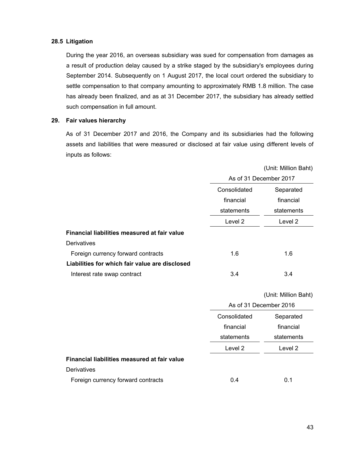### **28.5 Litigation**

 During the year 2016, an overseas subsidiary was sued for compensation from damages as a result of production delay caused by a strike staged by the subsidiary's employees during September 2014. Subsequently on 1 August 2017, the local court ordered the subsidiary to settle compensation to that company amounting to approximately RMB 1.8 million. The case has already been finalized, and as at 31 December 2017, the subsidiary has already settled such compensation in full amount.

### **29. Fair values hierarchy**

As of 31 December 2017 and 2016, the Company and its subsidiaries had the following assets and liabilities that were measured or disclosed at fair value using different levels of inputs as follows:

|                                                |              | (Unit: Million Baht)   |
|------------------------------------------------|--------------|------------------------|
|                                                |              | As of 31 December 2017 |
|                                                | Consolidated | Separated              |
|                                                | financial    | financial              |
|                                                | statements   | statements             |
|                                                | Level 2      | Level 2                |
| Financial liabilities measured at fair value   |              |                        |
| Derivatives                                    |              |                        |
| Foreign currency forward contracts             | 1.6          | 1.6                    |
| Liabilities for which fair value are disclosed |              |                        |
| Interest rate swap contract                    | 3.4          | 3.4                    |
|                                                |              | (Unit: Million Baht)   |
|                                                |              | As of 31 December 2016 |

| As of 31 December 2016 |            |
|------------------------|------------|
| Consolidated           | Separated  |
| financial              | financial  |
| statements             | statements |
| Level 2                | Level 2    |
|                        |            |
|                        |            |
| 0.4                    | 0.1        |
|                        |            |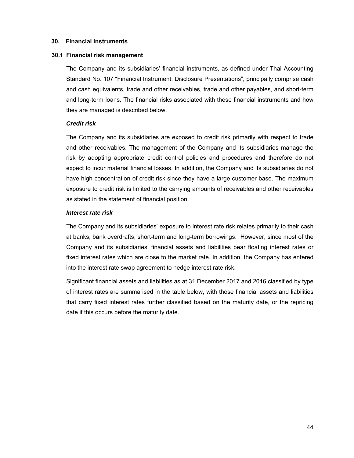#### **30. Financial instruments**

#### **30.1 Financial risk management**

 The Company and its subsidiaries' financial instruments, as defined under Thai Accounting Standard No. 107 "Financial Instrument: Disclosure Presentations", principally comprise cash and cash equivalents, trade and other receivables, trade and other payables, and short-term and long-term loans. The financial risks associated with these financial instruments and how they are managed is described below.

#### *Credit risk*

The Company and its subsidiaries are exposed to credit risk primarily with respect to trade and other receivables. The management of the Company and its subsidiaries manage the risk by adopting appropriate credit control policies and procedures and therefore do not expect to incur material financial losses. In addition, the Company and its subsidiaries do not have high concentration of credit risk since they have a large customer base. The maximum exposure to credit risk is limited to the carrying amounts of receivables and other receivables as stated in the statement of financial position.

### *Interest rate risk*

The Company and its subsidiaries' exposure to interest rate risk relates primarily to their cash at banks, bank overdrafts, short-term and long-term borrowings. However, since most of the Company and its subsidiaries' financial assets and liabilities bear floating interest rates or fixed interest rates which are close to the market rate. In addition, the Company has entered into the interest rate swap agreement to hedge interest rate risk.

Significant financial assets and liabilities as at 31 December 2017 and 2016 classified by type of interest rates are summarised in the table below, with those financial assets and liabilities that carry fixed interest rates further classified based on the maturity date, or the repricing date if this occurs before the maturity date.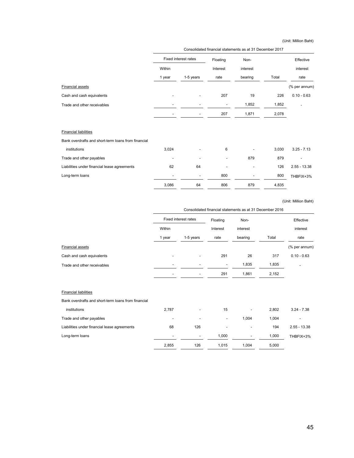(Unit: Million Baht)

| Consolidated financial statements as at 31 December 2017 |           |                             |                          |       |                |
|----------------------------------------------------------|-----------|-----------------------------|--------------------------|-------|----------------|
|                                                          |           | Floating                    | Non-                     |       | Effective      |
| Within                                                   |           | Interest                    | interest                 |       | interest       |
| 1 year                                                   | 1-5 years | rate                        | bearing                  | Total | rate           |
|                                                          |           |                             |                          |       | (% per annum)  |
|                                                          |           | 207                         | 19                       | 226   | $0.10 - 0.63$  |
|                                                          |           |                             | 1,852                    | 1,852 |                |
|                                                          |           | 207                         | 1,871                    | 2,078 |                |
|                                                          |           |                             |                          |       |                |
|                                                          |           |                             |                          |       |                |
| 3,024                                                    |           | 6                           |                          | 3,030 | $3.25 - 7.13$  |
|                                                          |           |                             | 879                      | 879   |                |
| 62                                                       | 64        |                             | $\overline{\phantom{a}}$ | 126   | $2.55 - 13.38$ |
|                                                          |           | 800                         |                          | 800   | THBFIX+3%      |
| 3,086                                                    | 64        | 806                         | 879                      | 4,835 |                |
|                                                          |           | <b>Fixed interest rates</b> |                          |       |                |

(Unit: Million Baht)

|                             | Consolidated financial statements as at 31 December 2016 |                          |          |          |       |               |  |
|-----------------------------|----------------------------------------------------------|--------------------------|----------|----------|-------|---------------|--|
|                             | Fixed interest rates                                     |                          | Floating | Non-     |       | Effective     |  |
|                             | Within                                                   |                          | Interest | interest |       | interest      |  |
|                             | 1 year                                                   | 1-5 years                | rate     | bearing  | Total | rate          |  |
| <b>Financial assets</b>     |                                                          |                          |          |          |       | (% per annum) |  |
| Cash and cash equivalents   |                                                          | $\overline{\phantom{a}}$ | 291      | 26       | 317   | $0.10 - 0.63$ |  |
| Trade and other receivables | $\overline{\phantom{a}}$                                 |                          | ٠        | 1,835    | 1,835 |               |  |
|                             |                                                          | $\overline{\phantom{0}}$ | 291      | 1,861    | 2,152 |               |  |
|                             |                                                          |                          |          |          |       |               |  |

#### Financial liabilities

Bank overdrafts and short-term loans from financial

| institutions                                 | 2.787                    | $\overline{\phantom{a}}$ | 15                       | $\overline{\phantom{a}}$ | 2.802 | $3.24 - 7.38$  |
|----------------------------------------------|--------------------------|--------------------------|--------------------------|--------------------------|-------|----------------|
| Trade and other payables                     | $\overline{\phantom{a}}$ | $\blacksquare$           | $\overline{\phantom{a}}$ | 1.004                    | 1.004 |                |
| Liabilities under financial lease agreements | 68                       | 126                      | $\overline{\phantom{a}}$ | $\,$                     | 194   | $2.55 - 13.38$ |
| Long-term loans                              | $\overline{\phantom{a}}$ | $\overline{\phantom{a}}$ | 1.000                    | $\overline{\phantom{0}}$ | 1,000 | THBFIX+3%      |
|                                              | 2.855                    | 126                      | 1.015                    | 1.004                    | 5.000 |                |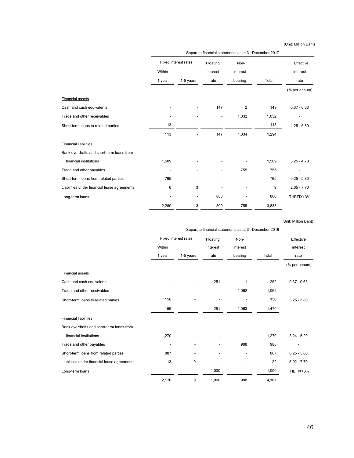(Unit: Million Baht)

|                                              | Separate financial statements as at 31 December 2017 |                          |                              |          |       |               |
|----------------------------------------------|------------------------------------------------------|--------------------------|------------------------------|----------|-------|---------------|
|                                              | <b>Fixed interest rates</b>                          |                          | Floating                     | Non-     |       | Effective     |
|                                              | Within                                               |                          | Interest                     | interest |       | interest      |
|                                              | 1 year                                               | 1-5 years                | rate                         | bearing  | Total | rate          |
|                                              |                                                      |                          |                              |          |       | (% per annum) |
| <b>Financial assets</b>                      |                                                      |                          |                              |          |       |               |
| Cash and cash equivalents                    |                                                      |                          | 147                          | 2        | 149   | $0.37 - 0.63$ |
| Trade and other receivables                  |                                                      |                          | $\qquad \qquad \blacksquare$ | 1,032    | 1,032 |               |
| Short-term loans to related parties          | 113                                                  |                          |                              |          | 113   | $4.25 - 5.80$ |
|                                              | 113                                                  | $\overline{\phantom{a}}$ | 147                          | 1,034    | 1,294 |               |
| <b>Financial liabilities</b>                 |                                                      |                          |                              |          |       |               |
| Bank overdrafts and short-term loans from    |                                                      |                          |                              |          |       |               |
| financial institutions                       | 1,509                                                |                          |                              |          | 1,509 | $3.25 - 4.78$ |
| Trade and other payables                     |                                                      |                          |                              | 755      | 755   |               |
| Short-term loans from related parties        | 765                                                  |                          |                              |          | 765   | $0.25 - 5.80$ |
| Liabilities under financial lease agreements | 6                                                    | 3                        |                              |          | 9     | $2.65 - 7.70$ |
| Long-term loans                              |                                                      | $\overline{\phantom{a}}$ | 800                          |          | 800   | THBFIX+3%     |
|                                              | 2,280                                                | 3                        | 800                          | 755      | 3,838 |               |

Unit: Million Baht)

|                                              | Separate financial statements as at 31 December 2016 |                             |          |          |       |               |
|----------------------------------------------|------------------------------------------------------|-----------------------------|----------|----------|-------|---------------|
|                                              |                                                      | <b>Fixed interest rates</b> | Floating | Non-     |       | Effective     |
|                                              | Within                                               |                             | Interest | interest |       | interest      |
|                                              | 1 year                                               | 1-5 years                   | rate     | bearing  | Total | rate          |
|                                              |                                                      |                             |          |          |       | (% per annum) |
| <b>Financial assets</b>                      |                                                      |                             |          |          |       |               |
| Cash and cash equivalents                    |                                                      |                             | 251      | 1        | 252   | $0.37 - 0.63$ |
| Trade and other receivables                  |                                                      | $\overline{a}$              |          | 1,062    | 1,062 |               |
| Short-term loans to related parties          | 156                                                  |                             |          |          | 156   | $3.25 - 5.80$ |
|                                              | 156                                                  |                             | 251      | 1,063    | 1,470 |               |
| <b>Financial liabilities</b>                 |                                                      |                             |          |          |       |               |
| Bank overdrafts and short-term loans from    |                                                      |                             |          |          |       |               |
| financial institutions                       | 1,270                                                |                             |          |          | 1,270 | $3.24 - 5.20$ |
| Trade and other payables                     |                                                      |                             |          | 988      | 988   |               |
| Short-term loans from related parties        | 887                                                  |                             |          | ٠        | 887   | $0.25 - 5.80$ |
| Liabilities under financial lease agreements | 13                                                   | 9                           |          |          | 22    | $5.02 - 7.70$ |
| Long-term loans                              |                                                      | $\overline{\phantom{a}}$    | 1,000    |          | 1,000 | THBFIX+3%     |
|                                              | 2,170                                                | 9                           | 1,000    | 988      | 4,167 |               |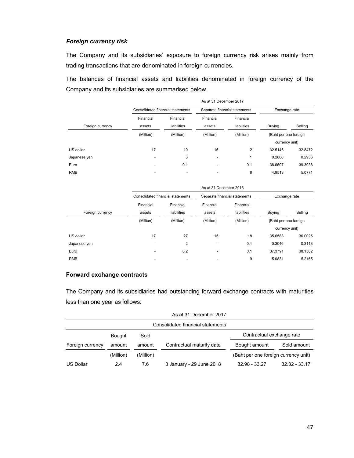### *Foreign currency risk*

The Company and its subsidiaries' exposure to foreign currency risk arises mainly from trading transactions that are denominated in foreign currencies.

The balances of financial assets and liabilities denominated in foreign currency of the Company and its subsidiaries are summarised below.

|                  |                          | As at 31 December 2017            |                          |                               |                       |         |  |  |  |
|------------------|--------------------------|-----------------------------------|--------------------------|-------------------------------|-----------------------|---------|--|--|--|
|                  |                          | Consolidated financial statements |                          | Separate financial statements | Exchange rate         |         |  |  |  |
| Foreign currency | Financial<br>assets      | Financial<br>liabilities          | Financial<br>assets      | Financial<br>liabilities      | <b>Buying</b>         | Selling |  |  |  |
|                  | (Million)                | (Million)                         | (Million)                | (Million)                     | (Baht per one foreign |         |  |  |  |
|                  |                          |                                   |                          |                               | currency unit)        |         |  |  |  |
| US dollar        | 17                       | 10                                | 15                       | $\overline{2}$                | 32.5146               | 32.8472 |  |  |  |
| Japanese yen     | $\overline{\phantom{a}}$ | 3                                 | $\overline{\phantom{0}}$ |                               | 0.2860                | 0.2936  |  |  |  |
| Euro             | $\overline{\phantom{0}}$ | 0.1                               | $\overline{\phantom{0}}$ | 0.1                           | 38.6607               | 39.3938 |  |  |  |
| <b>RMB</b>       |                          |                                   | $\overline{\phantom{0}}$ | 8                             | 4.9518                | 5.0771  |  |  |  |

|                  |                          | As at 31 December 2016            |                          |                               |                       |         |  |  |  |
|------------------|--------------------------|-----------------------------------|--------------------------|-------------------------------|-----------------------|---------|--|--|--|
|                  |                          | Consolidated financial statements |                          | Separate financial statements | Exchange rate         |         |  |  |  |
| Foreign currency | Financial<br>assets      | Financial<br>liabilities          | Financial<br>assets      | Financial<br>liabilities      | <b>Buying</b>         | Selling |  |  |  |
|                  | (Million)                | (Million)                         | (Million)                | (Million)                     | (Baht per one foreign |         |  |  |  |
|                  |                          |                                   |                          |                               | currency unit)        |         |  |  |  |
| US dollar        | 17                       | 27                                | 15                       | 18                            | 35.6588               | 36.0025 |  |  |  |
| Japanese yen     | -                        | 2                                 | $\overline{\phantom{0}}$ | 0.1                           | 0.3046                | 0.3113  |  |  |  |
| Euro             | $\overline{\phantom{a}}$ | 0.2                               | $\overline{\phantom{a}}$ | 0.1                           | 37.3791               | 38.1362 |  |  |  |
| <b>RMB</b>       | $\blacksquare$           |                                   | $\blacksquare$           | 9                             | 5.0831                | 5.2165  |  |  |  |

### **Forward exchange contracts**

The Company and its subsidiaries had outstanding forward exchange contracts with maturities less than one year as follows:

| As at 31 December 2017            |               |           |                           |                                      |                 |  |  |
|-----------------------------------|---------------|-----------|---------------------------|--------------------------------------|-----------------|--|--|
| Consolidated financial statements |               |           |                           |                                      |                 |  |  |
|                                   | <b>Bought</b> | Sold      |                           | Contractual exchange rate            |                 |  |  |
| Foreign currency                  | amount        | amount    | Contractual maturity date | Bought amount                        | Sold amount     |  |  |
|                                   | (Million)     | (Million) |                           | (Baht per one foreign currency unit) |                 |  |  |
| <b>US Dollar</b>                  | 2.4           | 7.6       | 3 January - 29 June 2018  | 32.98 - 33.27                        | $32.32 - 33.17$ |  |  |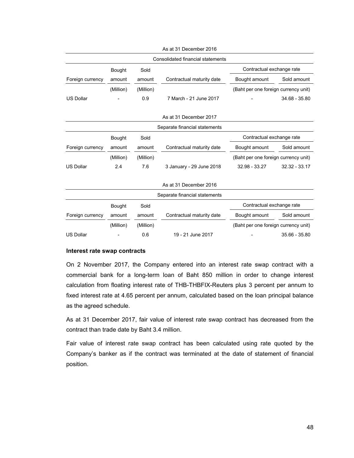| Consolidated financial statements |           |           |                               |                                      |               |  |
|-----------------------------------|-----------|-----------|-------------------------------|--------------------------------------|---------------|--|
|                                   | Bought    | Sold      |                               | Contractual exchange rate            |               |  |
| Foreign currency                  | amount    | amount    | Contractual maturity date     | Bought amount                        | Sold amount   |  |
|                                   | (Million) | (Million) |                               | (Baht per one foreign currency unit) |               |  |
| <b>US Dollar</b>                  |           | 0.9       | 7 March - 21 June 2017        |                                      | 34.68 - 35.80 |  |
|                                   |           |           | As at 31 December 2017        |                                      |               |  |
|                                   |           |           | Separate financial statements |                                      |               |  |
|                                   | Bought    | Sold      |                               | Contractual exchange rate            |               |  |
| Foreign currency                  | amount    | amount    | Contractual maturity date     | Bought amount                        | Sold amount   |  |
|                                   | (Million) | (Million) |                               | (Baht per one foreign currency unit) |               |  |
| <b>US Dollar</b>                  | 2.4       | 7.6       | 3 January - 29 June 2018      | 32.98 - 33.27                        | 32.32 - 33.17 |  |
|                                   |           |           | As at 31 December 2016        |                                      |               |  |
|                                   |           |           | Separate financial statements |                                      |               |  |
|                                   | Bought    | Sold      |                               | Contractual exchange rate            |               |  |
| Foreign currency                  | amount    | amount    | Contractual maturity date     | Bought amount                        | Sold amount   |  |
|                                   | (Million) | (Million) |                               | (Baht per one foreign currency unit) |               |  |
| <b>US Dollar</b>                  |           | 0.6       | 19 - 21 June 2017             |                                      | 35.66 - 35.80 |  |

As at 31 December 2016

#### **Interest rate swap contracts**

On 2 November 2017, the Company entered into an interest rate swap contract with a commercial bank for a long-term loan of Baht 850 million in order to change interest calculation from floating interest rate of THB-THBFIX-Reuters plus 3 percent per annum to fixed interest rate at 4.65 percent per annum, calculated based on the loan principal balance as the agreed schedule.

 As at 31 December 2017, fair value of interest rate swap contract has decreased from the contract than trade date by Baht 3.4 million.

 Fair value of interest rate swap contract has been calculated using rate quoted by the Company's banker as if the contract was terminated at the date of statement of financial position.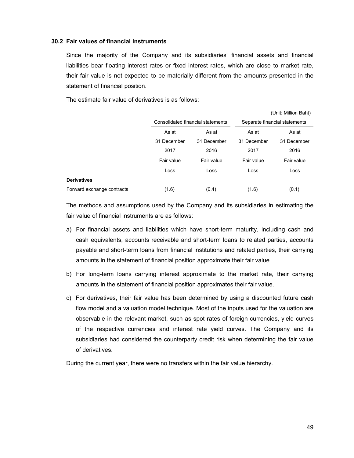### **30.2 Fair values of financial instruments**

Since the majority of the Company and its subsidiaries' financial assets and financial liabilities bear floating interest rates or fixed interest rates, which are close to market rate, their fair value is not expected to be materially different from the amounts presented in the statement of financial position.

The estimate fair value of derivatives is as follows:

|                            |             |                                   |                               | (Unit: Million Baht) |  |
|----------------------------|-------------|-----------------------------------|-------------------------------|----------------------|--|
|                            |             | Consolidated financial statements | Separate financial statements |                      |  |
|                            | As at       | As at                             | As at                         | As at<br>31 December |  |
|                            | 31 December | 31 December                       | 31 December                   |                      |  |
|                            | 2017        | 2016                              | 2017                          | 2016                 |  |
|                            | Fair value  | Fair value                        | Fair value                    | Fair value           |  |
|                            | Loss        | Loss                              | Loss                          | Loss                 |  |
| <b>Derivatives</b>         |             |                                   |                               |                      |  |
| Forward exchange contracts | (1.6)       | (0.4)                             | (1.6)                         | (0.1)                |  |

The methods and assumptions used by the Company and its subsidiaries in estimating the fair value of financial instruments are as follows:

- a) For financial assets and liabilities which have short-term maturity, including cash and cash equivalents, accounts receivable and short-term loans to related parties, accounts payable and short-term loans from financial institutions and related parties, their carrying amounts in the statement of financial position approximate their fair value.
- b) For long-term loans carrying interest approximate to the market rate, their carrying amounts in the statement of financial position approximates their fair value.
- c) For derivatives, their fair value has been determined by using a discounted future cash flow model and a valuation model technique. Most of the inputs used for the valuation are observable in the relevant market, such as spot rates of foreign currencies, yield curves of the respective currencies and interest rate yield curves. The Company and its subsidiaries had considered the counterparty credit risk when determining the fair value of derivatives.

During the current year, there were no transfers within the fair value hierarchy.